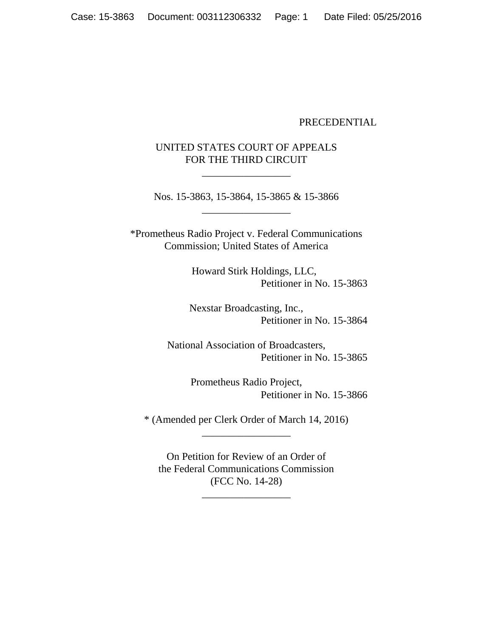## PRECEDENTIAL

# UNITED STATES COURT OF APPEALS FOR THE THIRD CIRCUIT

\_\_\_\_\_\_\_\_\_\_\_\_\_\_\_\_\_

Nos. 15-3863, 15-3864, 15-3865 & 15-3866 \_\_\_\_\_\_\_\_\_\_\_\_\_\_\_\_\_

\*Prometheus Radio Project v. Federal Communications Commission; United States of America

> Howard Stirk Holdings, LLC, Petitioner in No. 15-3863

Nexstar Broadcasting, Inc., Petitioner in No. 15-3864

National Association of Broadcasters, Petitioner in No. 15-3865

> Prometheus Radio Project, Petitioner in No. 15-3866

\* (Amended per Clerk Order of March 14, 2016) \_\_\_\_\_\_\_\_\_\_\_\_\_\_\_\_\_

On Petition for Review of an Order of the Federal Communications Commission (FCC No. 14-28)

\_\_\_\_\_\_\_\_\_\_\_\_\_\_\_\_\_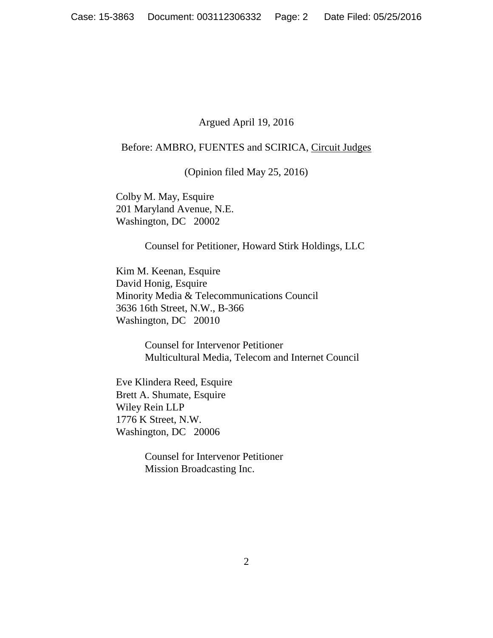## Argued April 19, 2016

## Before: AMBRO, FUENTES and SCIRICA, Circuit Judges

(Opinion filed May 25, 2016)

Colby M. May, Esquire 201 Maryland Avenue, N.E. Washington, DC 20002

Counsel for Petitioner, Howard Stirk Holdings, LLC

Kim M. Keenan, Esquire David Honig, Esquire Minority Media & Telecommunications Council 3636 16th Street, N.W., B-366 Washington, DC 20010

> Counsel for Intervenor Petitioner Multicultural Media, Telecom and Internet Council

Eve Klindera Reed, Esquire Brett A. Shumate, Esquire Wiley Rein LLP 1776 K Street, N.W. Washington, DC 20006

> Counsel for Intervenor Petitioner Mission Broadcasting Inc.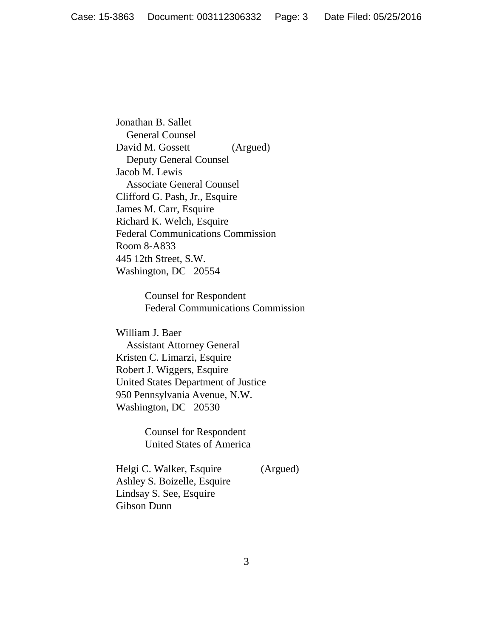Jonathan B. Sallet General Counsel David M. Gossett (Argued) Deputy General Counsel Jacob M. Lewis Associate General Counsel Clifford G. Pash, Jr., Esquire James M. Carr, Esquire Richard K. Welch, Esquire Federal Communications Commission Room 8-A833 445 12th Street, S.W. Washington, DC 20554

> Counsel for Respondent Federal Communications Commission

William J. Baer Assistant Attorney General Kristen C. Limarzi, Esquire Robert J. Wiggers, Esquire United States Department of Justice 950 Pennsylvania Avenue, N.W. Washington, DC 20530

> Counsel for Respondent United States of America

Helgi C. Walker, Esquire (Argued) Ashley S. Boizelle, Esquire Lindsay S. See, Esquire Gibson Dunn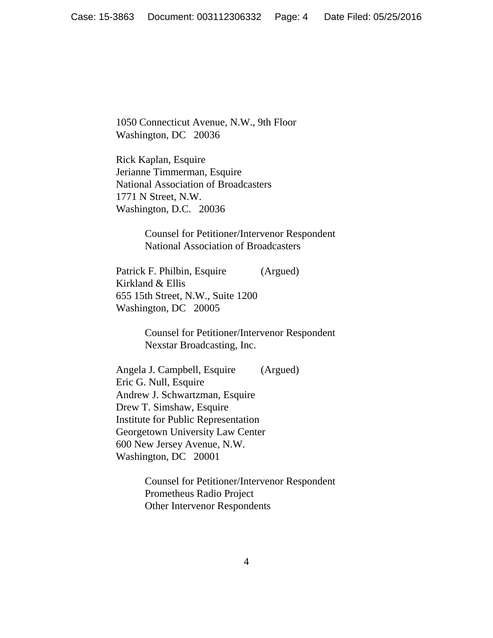1050 Connecticut Avenue, N.W., 9th Floor Washington, DC 20036

Rick Kaplan, Esquire Jerianne Timmerman, Esquire National Association of Broadcasters 1771 N Street, N.W. Washington, D.C. 20036

> Counsel for Petitioner/Intervenor Respondent National Association of Broadcasters

Patrick F. Philbin, Esquire (Argued) Kirkland & Ellis 655 15th Street, N.W., Suite 1200 Washington, DC 20005

> Counsel for Petitioner/Intervenor Respondent Nexstar Broadcasting, Inc.

Angela J. Campbell, Esquire (Argued) Eric G. Null, Esquire Andrew J. Schwartzman, Esquire Drew T. Simshaw, Esquire Institute for Public Representation Georgetown University Law Center 600 New Jersey Avenue, N.W. Washington, DC 20001

> Counsel for Petitioner/Intervenor Respondent Prometheus Radio Project Other Intervenor Respondents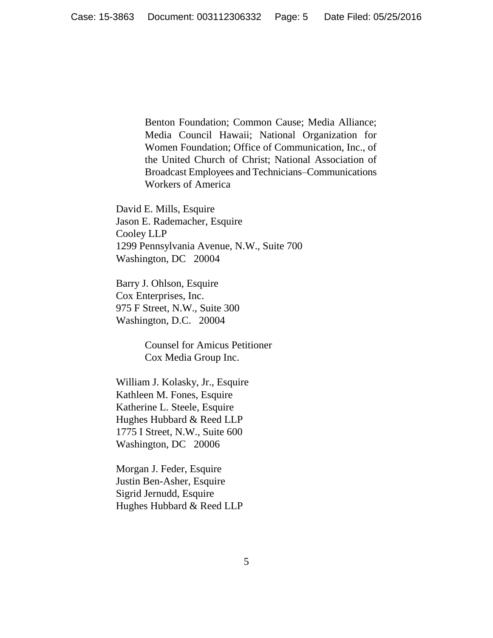Benton Foundation; Common Cause; Media Alliance; Media Council Hawaii; National Organization for Women Foundation; Office of Communication, Inc., of the United Church of Christ; National Association of Broadcast Employees and Technicians–Communications Workers of America

David E. Mills, Esquire Jason E. Rademacher, Esquire Cooley LLP 1299 Pennsylvania Avenue, N.W., Suite 700 Washington, DC 20004

Barry J. Ohlson, Esquire Cox Enterprises, Inc. 975 F Street, N.W., Suite 300 Washington, D.C. 20004

> Counsel for Amicus Petitioner Cox Media Group Inc.

William J. Kolasky, Jr., Esquire Kathleen M. Fones, Esquire Katherine L. Steele, Esquire Hughes Hubbard & Reed LLP 1775 I Street, N.W., Suite 600 Washington, DC 20006

Morgan J. Feder, Esquire Justin Ben-Asher, Esquire Sigrid Jernudd, Esquire Hughes Hubbard & Reed LLP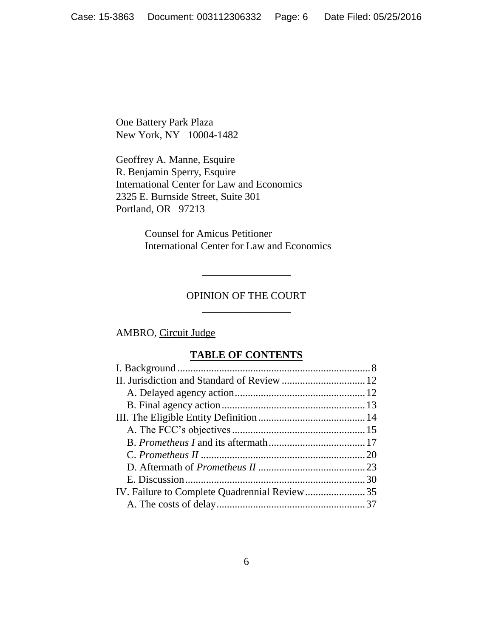One Battery Park Plaza New York, NY 10004-1482

Geoffrey A. Manne, Esquire R. Benjamin Sperry, Esquire International Center for Law and Economics 2325 E. Burnside Street, Suite 301 Portland, OR 97213

> Counsel for Amicus Petitioner International Center for Law and Economics

# OPINION OF THE COURT \_\_\_\_\_\_\_\_\_\_\_\_\_\_\_\_\_

\_\_\_\_\_\_\_\_\_\_\_\_\_\_\_\_\_

# AMBRO, Circuit Judge

# **TABLE OF CONTENTS**

| IV. Failure to Complete Quadrennial Review35 |  |
|----------------------------------------------|--|
|                                              |  |
|                                              |  |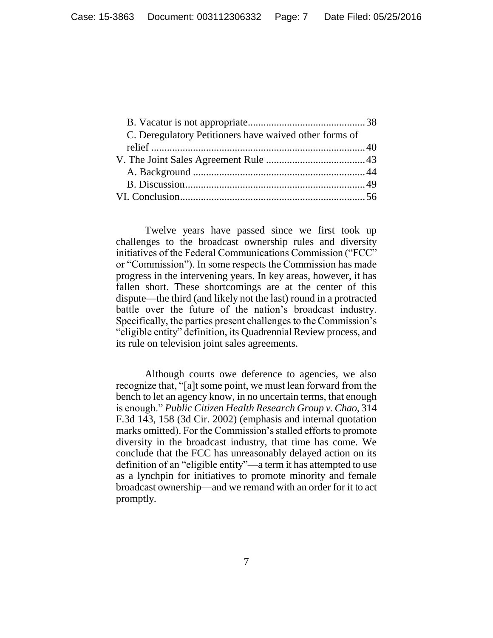| C. Deregulatory Petitioners have waived other forms of |  |
|--------------------------------------------------------|--|
|                                                        |  |
|                                                        |  |
|                                                        |  |
|                                                        |  |
|                                                        |  |
|                                                        |  |

Twelve years have passed since we first took up challenges to the broadcast ownership rules and diversity initiatives of the Federal Communications Commission ("FCC" or "Commission"). In some respects the Commission has made progress in the intervening years. In key areas, however, it has fallen short. These shortcomings are at the center of this dispute—the third (and likely not the last) round in a protracted battle over the future of the nation's broadcast industry. Specifically, the parties present challenges to the Commission's "eligible entity" definition, its Quadrennial Review process, and its rule on television joint sales agreements.

Although courts owe deference to agencies, we also recognize that, "[a]t some point, we must lean forward from the bench to let an agency know, in no uncertain terms, that enough is enough." *Public Citizen Health Research Group v. Chao*, 314 F.3d 143, 158 (3d Cir. 2002) (emphasis and internal quotation marks omitted). For the Commission's stalled efforts to promote diversity in the broadcast industry, that time has come. We conclude that the FCC has unreasonably delayed action on its definition of an "eligible entity"—a term it has attempted to use as a lynchpin for initiatives to promote minority and female broadcast ownership—and we remand with an order for it to act promptly.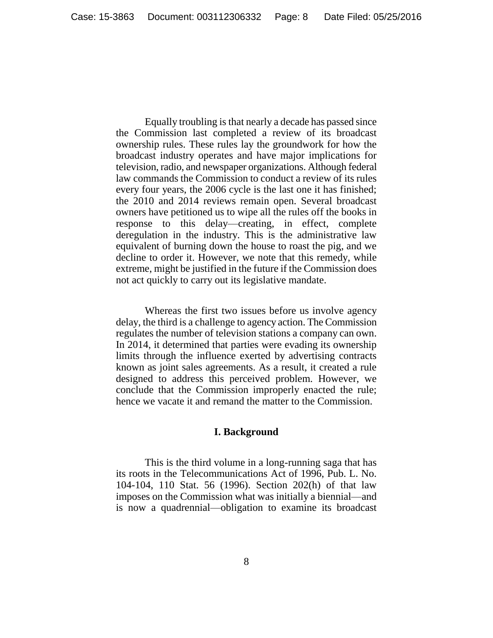Equally troubling is that nearly a decade has passed since the Commission last completed a review of its broadcast ownership rules. These rules lay the groundwork for how the broadcast industry operates and have major implications for television, radio, and newspaper organizations. Although federal law commands the Commission to conduct a review of its rules every four years, the 2006 cycle is the last one it has finished; the 2010 and 2014 reviews remain open. Several broadcast owners have petitioned us to wipe all the rules off the books in response to this delay—creating, in effect, complete deregulation in the industry. This is the administrative law equivalent of burning down the house to roast the pig, and we decline to order it. However, we note that this remedy, while extreme, might be justified in the future if the Commission does not act quickly to carry out its legislative mandate.

Whereas the first two issues before us involve agency delay, the third is a challenge to agency action. The Commission regulates the number of television stations a company can own. In 2014, it determined that parties were evading its ownership limits through the influence exerted by advertising contracts known as joint sales agreements. As a result, it created a rule designed to address this perceived problem. However, we conclude that the Commission improperly enacted the rule; hence we vacate it and remand the matter to the Commission.

#### **I. Background**

<span id="page-7-0"></span>This is the third volume in a long-running saga that has its roots in the Telecommunications Act of 1996, Pub. L. No. 104-104, 110 Stat. 56 (1996). Section 202(h) of that law imposes on the Commission what was initially a biennial—and is now a quadrennial—obligation to examine its broadcast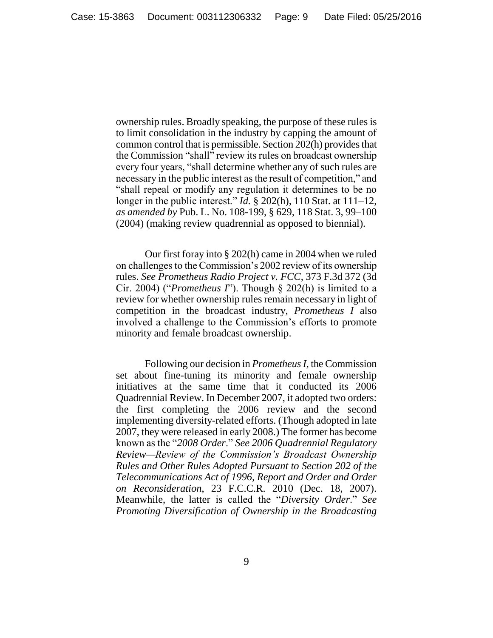ownership rules. Broadly speaking, the purpose of these rules is to limit consolidation in the industry by capping the amount of common control that is permissible. Section 202(h) provides that the Commission "shall" review its rules on broadcast ownership every four years, "shall determine whether any of such rules are necessary in the public interest as the result of competition," and "shall repeal or modify any regulation it determines to be no longer in the public interest." *Id.* § 202(h), 110 Stat. at 111–12, *as amended by* Pub. L. No. 108-199, § 629, 118 Stat. 3, 99–100 (2004) (making review quadrennial as opposed to biennial).

Our first foray into § 202(h) came in 2004 when we ruled on challenges to the Commission's 2002 review of its ownership rules. *See Prometheus Radio Project v. FCC*, 373 F.3d 372 (3d Cir. 2004) ("*Prometheus I*"). Though § 202(h) is limited to a review for whether ownership rules remain necessary in light of competition in the broadcast industry, *Prometheus I* also involved a challenge to the Commission's efforts to promote minority and female broadcast ownership.

Following our decision in *Prometheus I*, the Commission set about fine-tuning its minority and female ownership initiatives at the same time that it conducted its 2006 Quadrennial Review. In December 2007, it adopted two orders: the first completing the 2006 review and the second implementing diversity-related efforts. (Though adopted in late 2007, they were released in early 2008.) The former has become known as the "*2008 Order*." *See 2006 Quadrennial Regulatory Review—Review of the Commission's Broadcast Ownership Rules and Other Rules Adopted Pursuant to Section 202 of the Telecommunications Act of 1996, Report and Order and Order on Reconsideration*, 23 F.C.C.R. 2010 (Dec. 18, 2007). Meanwhile, the latter is called the "*Diversity Order*." *See Promoting Diversification of Ownership in the Broadcasting*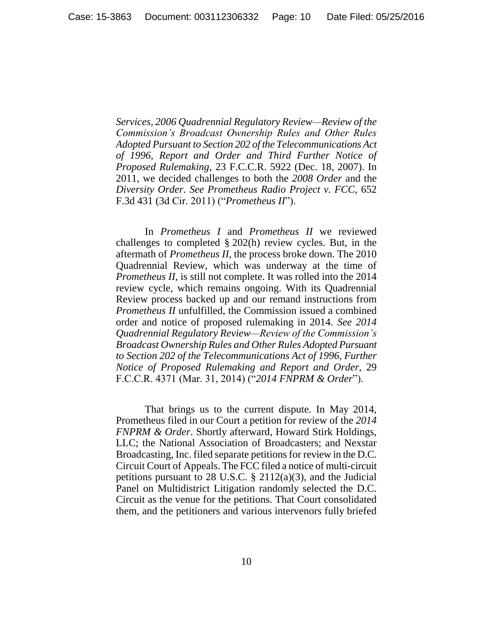*Services, 2006 Quadrennial Regulatory Review—Review of the Commission's Broadcast Ownership Rules and Other Rules Adopted Pursuant to Section 202 of the Telecommunications Act of 1996, Report and Order and Third Further Notice of Proposed Rulemaking*, 23 F.C.C.R. 5922 (Dec. 18, 2007). In 2011, we decided challenges to both the *2008 Order* and the *Diversity Order*. *See Prometheus Radio Project v. FCC*, 652 F.3d 431 (3d Cir. 2011) ("*Prometheus II*").

In *Prometheus I* and *Prometheus II* we reviewed challenges to completed § 202(h) review cycles. But, in the aftermath of *Prometheus II*, the process broke down. The 2010 Quadrennial Review, which was underway at the time of *Prometheus II*, is still not complete. It was rolled into the 2014 review cycle, which remains ongoing. With its Quadrennial Review process backed up and our remand instructions from *Prometheus II* unfulfilled, the Commission issued a combined order and notice of proposed rulemaking in 2014. *See 2014 Quadrennial Regulatory Review—Review of the Commission's Broadcast Ownership Rules and Other Rules Adopted Pursuant to Section 202 of the Telecommunications Act of 1996, Further Notice of Proposed Rulemaking and Report and Order*, 29 F.C.C.R. 4371 (Mar. 31, 2014) ("*2014 FNPRM & Order*").

That brings us to the current dispute. In May 2014, Prometheus filed in our Court a petition for review of the *2014 FNPRM & Order*. Shortly afterward, Howard Stirk Holdings, LLC; the National Association of Broadcasters; and Nexstar Broadcasting, Inc. filed separate petitions for review in the D.C. Circuit Court of Appeals. The FCC filed a notice of multi-circuit petitions pursuant to 28 U.S.C.  $\S$  2112(a)(3), and the Judicial Panel on Multidistrict Litigation randomly selected the D.C. Circuit as the venue for the petitions. That Court consolidated them, and the petitioners and various intervenors fully briefed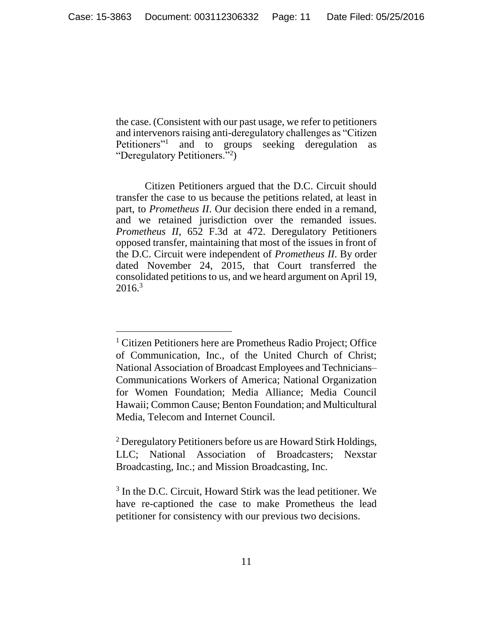the case. (Consistent with our past usage, we refer to petitioners and intervenors raising anti-deregulatory challenges as "Citizen Petitioners"<sup>1</sup> and to groups seeking deregulation as "Deregulatory Petitioners."<sup>2</sup>)

Citizen Petitioners argued that the D.C. Circuit should transfer the case to us because the petitions related, at least in part, to *Prometheus II*. Our decision there ended in a remand, and we retained jurisdiction over the remanded issues. *Prometheus II*, 652 F.3d at 472. Deregulatory Petitioners opposed transfer, maintaining that most of the issues in front of the D.C. Circuit were independent of *Prometheus II*. By order dated November 24, 2015, that Court transferred the consolidated petitions to us, and we heard argument on April 19,  $2016.<sup>3</sup>$ 

<sup>&</sup>lt;sup>1</sup> Citizen Petitioners here are Prometheus Radio Project; Office of Communication, Inc., of the United Church of Christ; National Association of Broadcast Employees and Technicians– Communications Workers of America; National Organization for Women Foundation; Media Alliance; Media Council Hawaii; Common Cause; Benton Foundation; and Multicultural Media, Telecom and Internet Council.

<sup>2</sup> Deregulatory Petitioners before us are Howard Stirk Holdings, LLC; National Association of Broadcasters; Nexstar Broadcasting, Inc.; and Mission Broadcasting, Inc.

<sup>&</sup>lt;sup>3</sup> In the D.C. Circuit, Howard Stirk was the lead petitioner. We have re-captioned the case to make Prometheus the lead petitioner for consistency with our previous two decisions.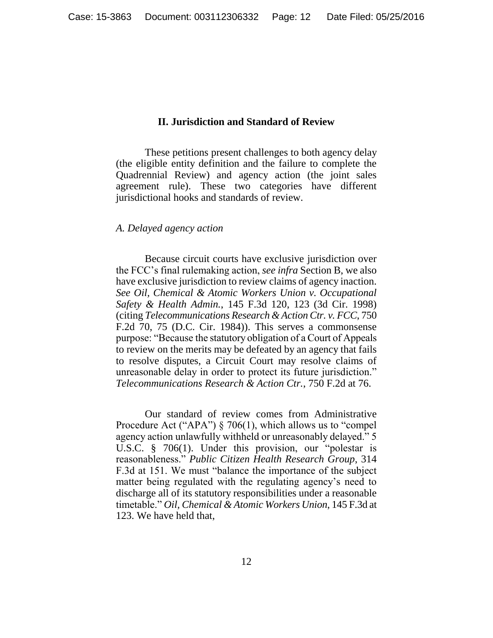### **II. Jurisdiction and Standard of Review**

<span id="page-11-0"></span>These petitions present challenges to both agency delay (the eligible entity definition and the failure to complete the Quadrennial Review) and agency action (the joint sales agreement rule). These two categories have different jurisdictional hooks and standards of review.

#### <span id="page-11-1"></span>*A. Delayed agency action*

Because circuit courts have exclusive jurisdiction over the FCC's final rulemaking action, *see infra* Section B, we also have exclusive jurisdiction to review claims of agency inaction. *See Oil, Chemical & Atomic Workers Union v. Occupational Safety & Health Admin.*, 145 F.3d 120, 123 (3d Cir. 1998) (citing *Telecommunications Research & Action Ctr. v. FCC*, 750 F.2d 70, 75 (D.C. Cir. 1984)). This serves a commonsense purpose: "Because the statutory obligation of a Court of Appeals to review on the merits may be defeated by an agency that fails to resolve disputes, a Circuit Court may resolve claims of unreasonable delay in order to protect its future jurisdiction." *Telecommunications Research & Action Ctr.*, 750 F.2d at 76.

Our standard of review comes from Administrative Procedure Act ("APA") § 706(1), which allows us to "compel agency action unlawfully withheld or unreasonably delayed." 5 U.S.C. § 706(1). Under this provision, our "polestar is reasonableness." *Public Citizen Health Research Group*, 314 F.3d at 151. We must "balance the importance of the subject matter being regulated with the regulating agency's need to discharge all of its statutory responsibilities under a reasonable timetable." *Oil, Chemical & Atomic Workers Union*, 145 F.3d at 123. We have held that,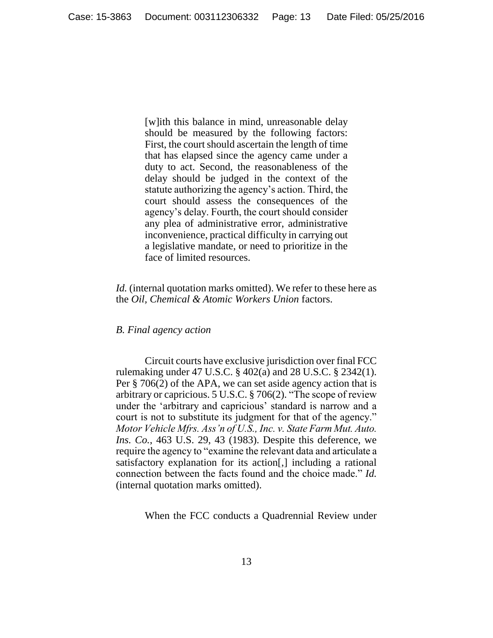[w]ith this balance in mind, unreasonable delay should be measured by the following factors: First, the court should ascertain the length of time that has elapsed since the agency came under a duty to act. Second, the reasonableness of the delay should be judged in the context of the statute authorizing the agency's action. Third, the court should assess the consequences of the agency's delay. Fourth, the court should consider any plea of administrative error, administrative inconvenience, practical difficulty in carrying out a legislative mandate, or need to prioritize in the face of limited resources.

*Id.* (internal quotation marks omitted). We refer to these here as the *Oil, Chemical & Atomic Workers Union* factors.

## <span id="page-12-0"></span>*B. Final agency action*

Circuit courts have exclusive jurisdiction over final FCC rulemaking under 47 U.S.C. § 402(a) and 28 U.S.C. § 2342(1). Per § 706(2) of the APA, we can set aside agency action that is arbitrary or capricious. 5 U.S.C. § 706(2). "The scope of review under the 'arbitrary and capricious' standard is narrow and a court is not to substitute its judgment for that of the agency." *Motor Vehicle Mfrs. Ass'n of U.S., Inc. v. State Farm Mut. Auto. Ins. Co.*, 463 U.S. 29, 43 (1983). Despite this deference, we require the agency to "examine the relevant data and articulate a satisfactory explanation for its action[,] including a rational connection between the facts found and the choice made." *Id.* (internal quotation marks omitted).

When the FCC conducts a Quadrennial Review under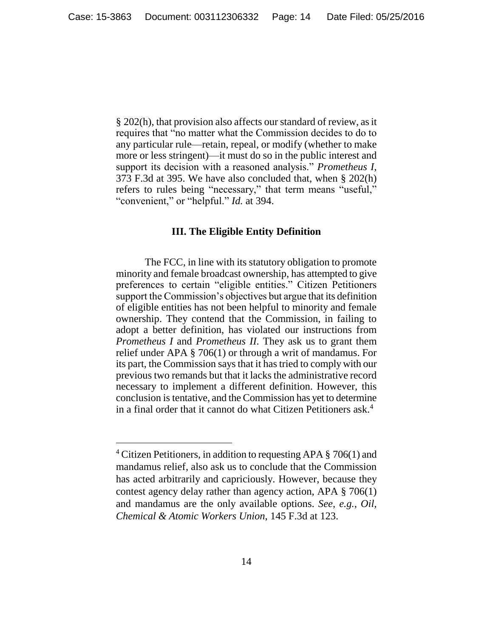§ 202(h), that provision also affects our standard of review, as it requires that "no matter what the Commission decides to do to any particular rule—retain, repeal, or modify (whether to make more or less stringent)—it must do so in the public interest and support its decision with a reasoned analysis." *Prometheus I*, 373 F.3d at 395. We have also concluded that, when § 202(h) refers to rules being "necessary," that term means "useful," "convenient," or "helpful." *Id.* at 394.

### **III. The Eligible Entity Definition**

<span id="page-13-0"></span>The FCC, in line with its statutory obligation to promote minority and female broadcast ownership, has attempted to give preferences to certain "eligible entities." Citizen Petitioners support the Commission's objectives but argue that its definition of eligible entities has not been helpful to minority and female ownership. They contend that the Commission, in failing to adopt a better definition, has violated our instructions from *Prometheus I* and *Prometheus II*. They ask us to grant them relief under APA § 706(1) or through a writ of mandamus. For its part, the Commission says that it has tried to comply with our previous two remands but that it lacks the administrative record necessary to implement a different definition. However, this conclusion is tentative, and the Commission has yet to determine in a final order that it cannot do what Citizen Petitioners ask.<sup>4</sup>

 $\overline{a}$ 

<sup>4</sup> Citizen Petitioners, in addition to requesting APA § 706(1) and mandamus relief, also ask us to conclude that the Commission has acted arbitrarily and capriciously. However, because they contest agency delay rather than agency action, APA § 706(1) and mandamus are the only available options. *See, e.g.*, *Oil, Chemical & Atomic Workers Union*, 145 F.3d at 123.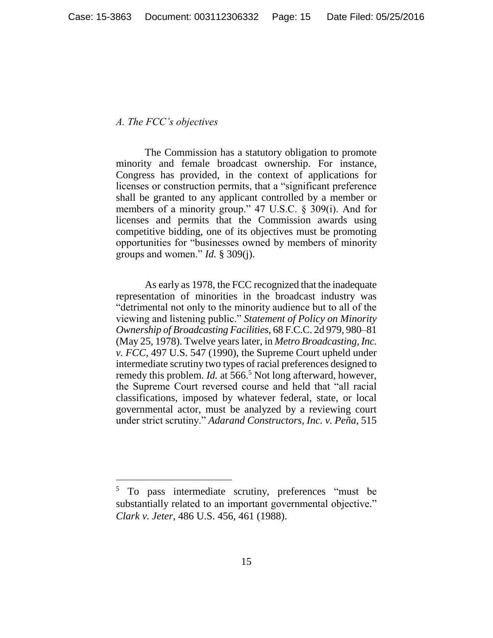## <span id="page-14-0"></span>*A. The FCC's objectives*

 $\overline{a}$ 

The Commission has a statutory obligation to promote minority and female broadcast ownership. For instance, Congress has provided, in the context of applications for licenses or construction permits, that a "significant preference shall be granted to any applicant controlled by a member or members of a minority group." 47 U.S.C. § 309(i). And for licenses and permits that the Commission awards using competitive bidding, one of its objectives must be promoting opportunities for "businesses owned by members of minority groups and women." *Id.* § 309(j).

As early as 1978, the FCC recognized that the inadequate representation of minorities in the broadcast industry was "detrimental not only to the minority audience but to all of the viewing and listening public." *Statement of Policy on Minority Ownership of Broadcasting Facilities*, 68 F.C.C. 2d 979, 980–81 (May 25, 1978). Twelve years later, in *Metro Broadcasting, Inc. v. FCC*, 497 U.S. 547 (1990), the Supreme Court upheld under intermediate scrutiny two types of racial preferences designed to remedy this problem. *Id.* at 566.<sup>5</sup> Not long afterward, however, the Supreme Court reversed course and held that "all racial classifications, imposed by whatever federal, state, or local governmental actor, must be analyzed by a reviewing court under strict scrutiny." *Adarand Constructors, Inc. v. Peña*, 515

<sup>5</sup> To pass intermediate scrutiny, preferences "must be substantially related to an important governmental objective." *Clark v. Jeter*, 486 U.S. 456, 461 (1988).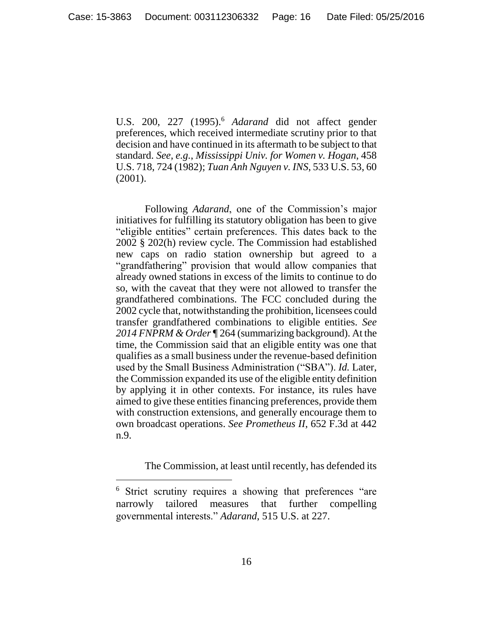U.S. 200, 227 (1995).<sup>6</sup> *Adarand* did not affect gender preferences, which received intermediate scrutiny prior to that decision and have continued in its aftermath to be subject to that standard. *See, e.g.*, *Mississippi Univ. for Women v. Hogan*, 458 U.S. 718, 724 (1982); *Tuan Anh Nguyen v. INS*, 533 U.S. 53, 60 (2001).

Following *Adarand*, one of the Commission's major initiatives for fulfilling its statutory obligation has been to give "eligible entities" certain preferences. This dates back to the 2002 § 202(h) review cycle. The Commission had established new caps on radio station ownership but agreed to a "grandfathering" provision that would allow companies that already owned stations in excess of the limits to continue to do so, with the caveat that they were not allowed to transfer the grandfathered combinations. The FCC concluded during the 2002 cycle that, notwithstanding the prohibition, licensees could transfer grandfathered combinations to eligible entities. *See 2014 FNPRM & Order* ¶ 264 (summarizing background). At the time, the Commission said that an eligible entity was one that qualifies as a small business under the revenue-based definition used by the Small Business Administration ("SBA"). *Id.* Later, the Commission expanded its use of the eligible entity definition by applying it in other contexts. For instance, its rules have aimed to give these entities financing preferences, provide them with construction extensions, and generally encourage them to own broadcast operations. *See Prometheus II*, 652 F.3d at 442 n.9.

The Commission, at least until recently, has defended its

 $\overline{a}$ 

<sup>6</sup> Strict scrutiny requires a showing that preferences "are narrowly tailored measures that further compelling governmental interests." *Adarand*, 515 U.S. at 227.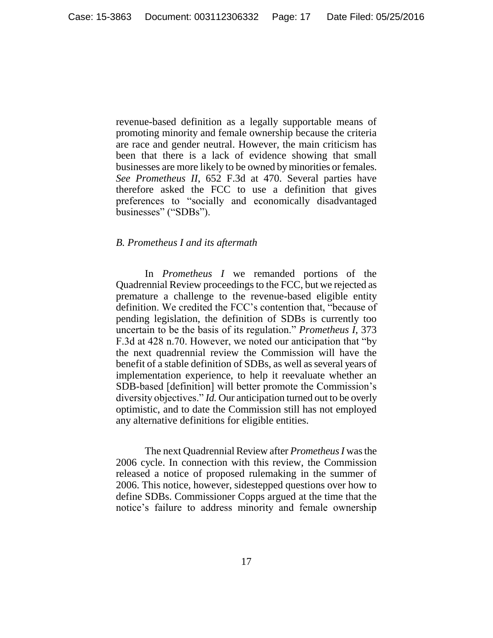revenue-based definition as a legally supportable means of promoting minority and female ownership because the criteria are race and gender neutral. However, the main criticism has been that there is a lack of evidence showing that small businesses are more likely to be owned by minorities or females. *See Prometheus II*, 652 F.3d at 470. Several parties have therefore asked the FCC to use a definition that gives preferences to "socially and economically disadvantaged businesses" ("SDBs").

### <span id="page-16-0"></span>*B. Prometheus I and its aftermath*

In *Prometheus I* we remanded portions of the Quadrennial Review proceedings to the FCC, but we rejected as premature a challenge to the revenue-based eligible entity definition. We credited the FCC's contention that, "because of pending legislation, the definition of SDBs is currently too uncertain to be the basis of its regulation." *Prometheus I*, 373 F.3d at 428 n.70. However, we noted our anticipation that "by the next quadrennial review the Commission will have the benefit of a stable definition of SDBs, as well as several years of implementation experience, to help it reevaluate whether an SDB-based [definition] will better promote the Commission's diversity objectives." *Id.* Our anticipation turned out to be overly optimistic, and to date the Commission still has not employed any alternative definitions for eligible entities.

The next Quadrennial Review after *Prometheus I* was the 2006 cycle. In connection with this review, the Commission released a notice of proposed rulemaking in the summer of 2006. This notice, however, sidestepped questions over how to define SDBs. Commissioner Copps argued at the time that the notice's failure to address minority and female ownership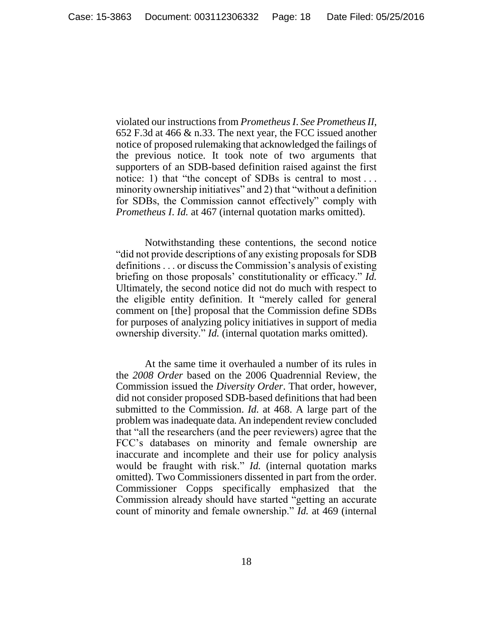violated our instructions from *Prometheus I*. *See Prometheus II*, 652 F.3d at 466 & n.33. The next year, the FCC issued another notice of proposed rulemaking that acknowledged the failings of the previous notice. It took note of two arguments that supporters of an SDB-based definition raised against the first notice: 1) that "the concept of SDBs is central to most... minority ownership initiatives" and 2) that "without a definition for SDBs, the Commission cannot effectively" comply with *Prometheus I*. *Id.* at 467 (internal quotation marks omitted).

Notwithstanding these contentions, the second notice "did not provide descriptions of any existing proposals for SDB definitions . . . or discuss the Commission's analysis of existing briefing on those proposals' constitutionality or efficacy." *Id.* Ultimately, the second notice did not do much with respect to the eligible entity definition. It "merely called for general comment on [the] proposal that the Commission define SDBs for purposes of analyzing policy initiatives in support of media ownership diversity." *Id.* (internal quotation marks omitted).

At the same time it overhauled a number of its rules in the *2008 Order* based on the 2006 Quadrennial Review, the Commission issued the *Diversity Order*. That order, however, did not consider proposed SDB-based definitions that had been submitted to the Commission. *Id.* at 468. A large part of the problem was inadequate data. An independent review concluded that "all the researchers (and the peer reviewers) agree that the FCC's databases on minority and female ownership are inaccurate and incomplete and their use for policy analysis would be fraught with risk." *Id.* (internal quotation marks omitted). Two Commissioners dissented in part from the order. Commissioner Copps specifically emphasized that the Commission already should have started "getting an accurate count of minority and female ownership." *Id.* at 469 (internal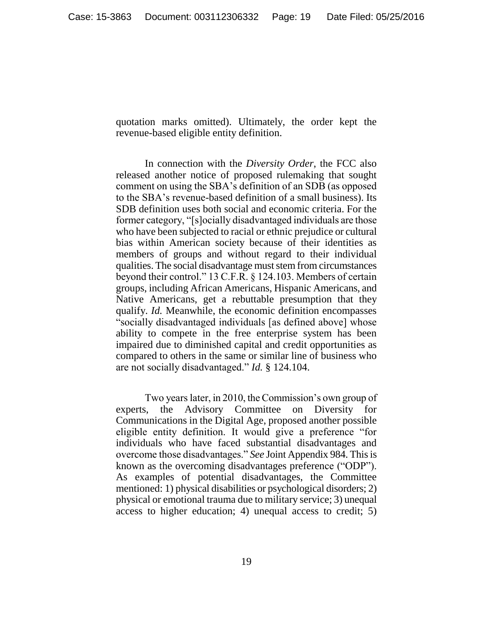quotation marks omitted). Ultimately, the order kept the revenue-based eligible entity definition.

In connection with the *Diversity Order*, the FCC also released another notice of proposed rulemaking that sought comment on using the SBA's definition of an SDB (as opposed to the SBA's revenue-based definition of a small business). Its SDB definition uses both social and economic criteria. For the former category, "[s]ocially disadvantaged individuals are those who have been subjected to racial or ethnic prejudice or cultural bias within American society because of their identities as members of groups and without regard to their individual qualities. The social disadvantage must stem from circumstances beyond their control." 13 C.F.R. § 124.103. Members of certain groups, including African Americans, Hispanic Americans, and Native Americans, get a rebuttable presumption that they qualify. *Id.* Meanwhile, the economic definition encompasses "socially disadvantaged individuals [as defined above] whose ability to compete in the free enterprise system has been impaired due to diminished capital and credit opportunities as compared to others in the same or similar line of business who are not socially disadvantaged." *Id.* § 124.104.

Two years later, in 2010, the Commission's own group of experts, the Advisory Committee on Diversity for Communications in the Digital Age, proposed another possible eligible entity definition. It would give a preference "for individuals who have faced substantial disadvantages and overcome those disadvantages." *See* Joint Appendix 984. This is known as the overcoming disadvantages preference ("ODP"). As examples of potential disadvantages, the Committee mentioned: 1) physical disabilities or psychological disorders; 2) physical or emotional trauma due to military service; 3) unequal access to higher education; 4) unequal access to credit; 5)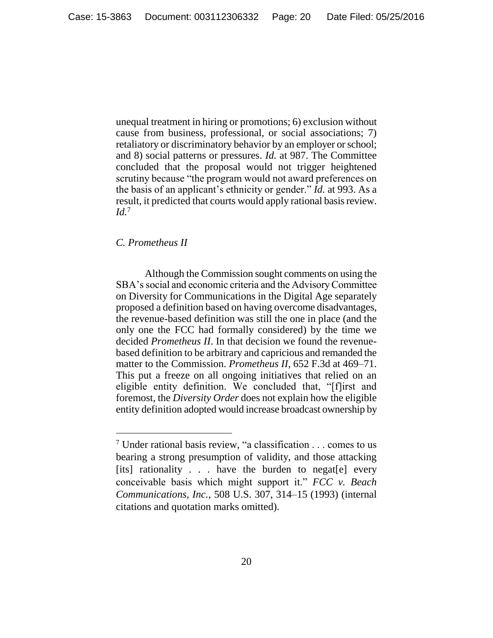unequal treatment in hiring or promotions; 6) exclusion without cause from business, professional, or social associations; 7) retaliatory or discriminatory behavior by an employer or school; and 8) social patterns or pressures. *Id.* at 987. The Committee concluded that the proposal would not trigger heightened scrutiny because "the program would not award preferences on the basis of an applicant's ethnicity or gender." *Id.* at 993. As a result, it predicted that courts would apply rational basis review. *Id.*<sup>7</sup>

## <span id="page-19-0"></span>*C. Prometheus II*

 $\overline{a}$ 

Although the Commission sought comments on using the SBA's social and economic criteria and the Advisory Committee on Diversity for Communications in the Digital Age separately proposed a definition based on having overcome disadvantages, the revenue-based definition was still the one in place (and the only one the FCC had formally considered) by the time we decided *Prometheus II*. In that decision we found the revenuebased definition to be arbitrary and capricious and remanded the matter to the Commission. *Prometheus II*, 652 F.3d at 469–71. This put a freeze on all ongoing initiatives that relied on an eligible entity definition. We concluded that, "[f]irst and foremost, the *Diversity Order* does not explain how the eligible entity definition adopted would increase broadcast ownership by

<sup>&</sup>lt;sup>7</sup> Under rational basis review, "a classification  $\ldots$  comes to us bearing a strong presumption of validity, and those attacking [its] rationality . . . have the burden to negat[e] every conceivable basis which might support it." *FCC v. Beach Communications, Inc.*, 508 U.S. 307, 314–15 (1993) (internal citations and quotation marks omitted).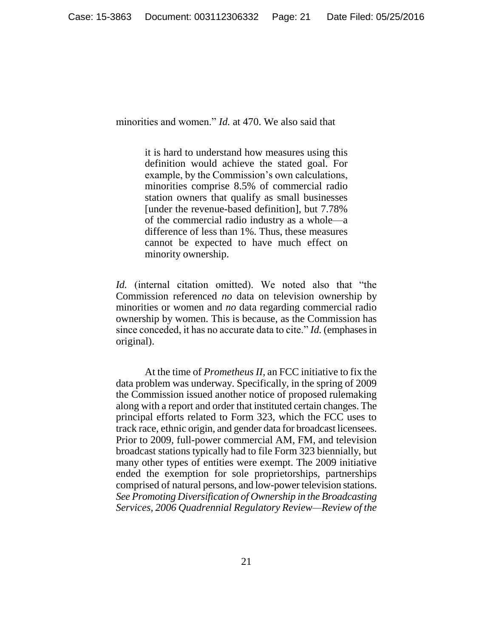minorities and women." *Id.* at 470. We also said that

it is hard to understand how measures using this definition would achieve the stated goal. For example, by the Commission's own calculations, minorities comprise 8.5% of commercial radio station owners that qualify as small businesses [under the revenue-based definition], but 7.78% of the commercial radio industry as a whole—a difference of less than 1%. Thus, these measures cannot be expected to have much effect on minority ownership.

*Id.* (internal citation omitted). We noted also that "the Commission referenced *no* data on television ownership by minorities or women and *no* data regarding commercial radio ownership by women. This is because, as the Commission has since conceded, it has no accurate data to cite." *Id.* (emphases in original).

At the time of *Prometheus II*, an FCC initiative to fix the data problem was underway. Specifically, in the spring of 2009 the Commission issued another notice of proposed rulemaking along with a report and order that instituted certain changes. The principal efforts related to Form 323, which the FCC uses to track race, ethnic origin, and gender data for broadcast licensees. Prior to 2009, full-power commercial AM, FM, and television broadcast stations typically had to file Form 323 biennially, but many other types of entities were exempt. The 2009 initiative ended the exemption for sole proprietorships, partnerships comprised of natural persons, and low-power television stations. *See Promoting Diversification of Ownership in the Broadcasting Services, 2006 Quadrennial Regulatory Review—Review of the*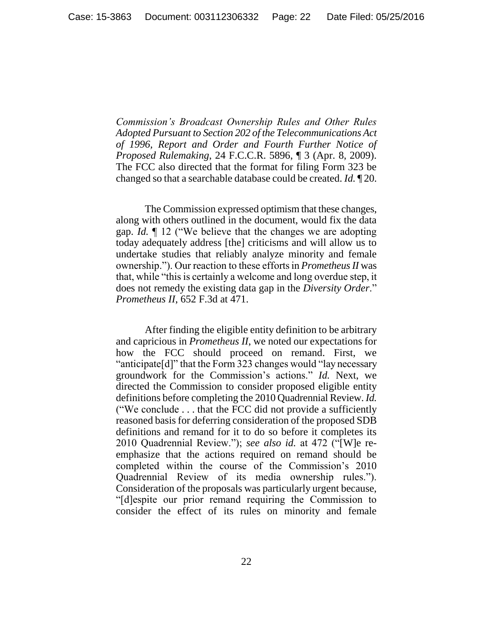*Commission's Broadcast Ownership Rules and Other Rules Adopted Pursuant to Section 202 of the Telecommunications Act of 1996, Report and Order and Fourth Further Notice of Proposed Rulemaking*, 24 F.C.C.R. 5896, ¶ 3 (Apr. 8, 2009). The FCC also directed that the format for filing Form 323 be changed so that a searchable database could be created. *Id.* ¶ 20.

The Commission expressed optimism that these changes, along with others outlined in the document, would fix the data gap. *Id.* ¶ 12 ("We believe that the changes we are adopting today adequately address [the] criticisms and will allow us to undertake studies that reliably analyze minority and female ownership."). Our reaction to these efforts in *Prometheus II* was that, while "this is certainly a welcome and long overdue step, it does not remedy the existing data gap in the *Diversity Order*." *Prometheus II*, 652 F.3d at 471.

After finding the eligible entity definition to be arbitrary and capricious in *Prometheus II*, we noted our expectations for how the FCC should proceed on remand. First, we "anticipate[d]" that the Form 323 changes would "lay necessary groundwork for the Commission's actions." *Id.* Next, we directed the Commission to consider proposed eligible entity definitions before completing the 2010 Quadrennial Review. *Id.* ("We conclude . . . that the FCC did not provide a sufficiently reasoned basis for deferring consideration of the proposed SDB definitions and remand for it to do so before it completes its 2010 Quadrennial Review."); *see also id.* at 472 ("[W]e reemphasize that the actions required on remand should be completed within the course of the Commission's 2010 Quadrennial Review of its media ownership rules."). Consideration of the proposals was particularly urgent because, "[d]espite our prior remand requiring the Commission to consider the effect of its rules on minority and female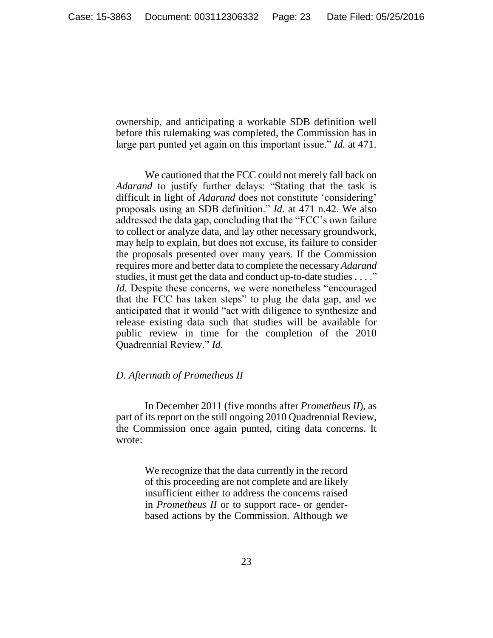ownership, and anticipating a workable SDB definition well before this rulemaking was completed, the Commission has in large part punted yet again on this important issue." *Id.* at 471.

We cautioned that the FCC could not merely fall back on *Adarand* to justify further delays: "Stating that the task is difficult in light of *Adarand* does not constitute 'considering' proposals using an SDB definition." *Id.* at 471 n.42. We also addressed the data gap, concluding that the "FCC's own failure to collect or analyze data, and lay other necessary groundwork, may help to explain, but does not excuse, its failure to consider the proposals presented over many years. If the Commission requires more and better data to complete the necessary *Adarand* studies, it must get the data and conduct up-to-date studies . . . ." *Id.* Despite these concerns, we were nonetheless "encouraged that the FCC has taken steps" to plug the data gap, and we anticipated that it would "act with diligence to synthesize and release existing data such that studies will be available for public review in time for the completion of the 2010 Quadrennial Review." *Id.*

## <span id="page-22-0"></span>*D. Aftermath of Prometheus II*

In December 2011 (five months after *Prometheus II*), as part of its report on the still ongoing 2010 Quadrennial Review, the Commission once again punted, citing data concerns. It wrote:

> We recognize that the data currently in the record of this proceeding are not complete and are likely insufficient either to address the concerns raised in *Prometheus II* or to support race- or genderbased actions by the Commission. Although we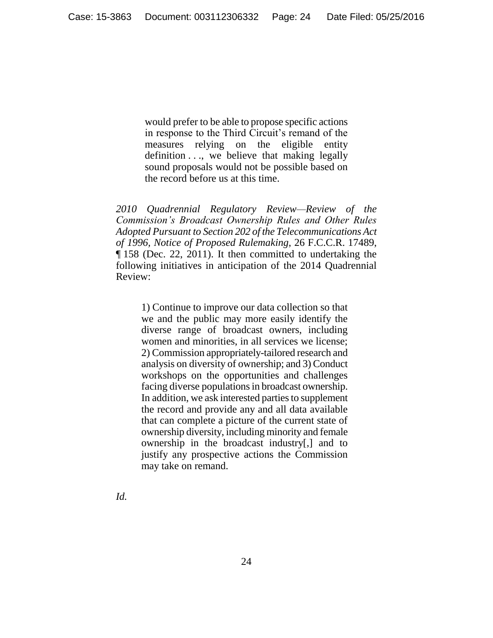would prefer to be able to propose specific actions in response to the Third Circuit's remand of the measures relying on the eligible entity definition . . ., we believe that making legally sound proposals would not be possible based on the record before us at this time.

*2010 Quadrennial Regulatory Review—Review of the Commission's Broadcast Ownership Rules and Other Rules Adopted Pursuant to Section 202 of the Telecommunications Act of 1996, Notice of Proposed Rulemaking*, 26 F.C.C.R. 17489, ¶ 158 (Dec. 22, 2011). It then committed to undertaking the following initiatives in anticipation of the 2014 Quadrennial Review:

1) Continue to improve our data collection so that we and the public may more easily identify the diverse range of broadcast owners, including women and minorities, in all services we license; 2) Commission appropriately-tailored research and analysis on diversity of ownership; and 3) Conduct workshops on the opportunities and challenges facing diverse populations in broadcast ownership. In addition, we ask interested parties to supplement the record and provide any and all data available that can complete a picture of the current state of ownership diversity, including minority and female ownership in the broadcast industry[,] and to justify any prospective actions the Commission may take on remand.

*Id.*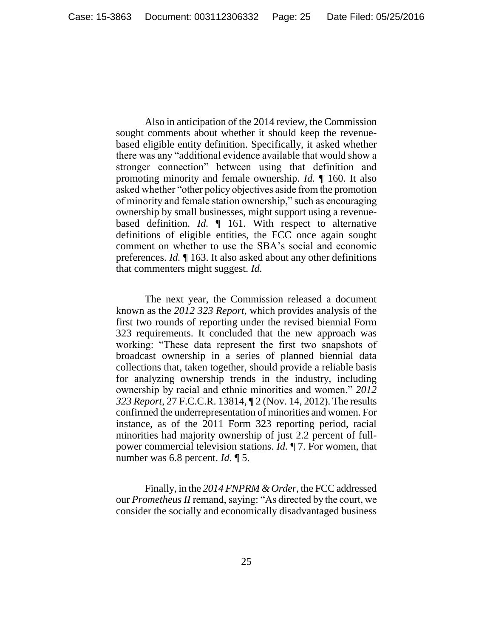Also in anticipation of the 2014 review, the Commission sought comments about whether it should keep the revenuebased eligible entity definition. Specifically, it asked whether there was any "additional evidence available that would show a stronger connection" between using that definition and promoting minority and female ownership. *Id.* ¶ 160. It also asked whether "other policy objectives aside from the promotion of minority and female station ownership," such as encouraging ownership by small businesses, might support using a revenuebased definition. *Id.* ¶ 161. With respect to alternative definitions of eligible entities, the FCC once again sought comment on whether to use the SBA's social and economic preferences. *Id.* ¶ 163. It also asked about any other definitions that commenters might suggest. *Id.*

The next year, the Commission released a document known as the *2012 323 Report*, which provides analysis of the first two rounds of reporting under the revised biennial Form 323 requirements. It concluded that the new approach was working: "These data represent the first two snapshots of broadcast ownership in a series of planned biennial data collections that, taken together, should provide a reliable basis for analyzing ownership trends in the industry, including ownership by racial and ethnic minorities and women." *2012 323 Report*, 27 F.C.C.R. 13814, ¶ 2 (Nov. 14, 2012). The results confirmed the underrepresentation of minorities and women. For instance, as of the 2011 Form 323 reporting period, racial minorities had majority ownership of just 2.2 percent of fullpower commercial television stations. *Id.* ¶ 7. For women, that number was 6.8 percent. *Id.* ¶ 5.

Finally, in the *2014 FNPRM & Order*, the FCC addressed our *Prometheus II* remand, saying: "As directed by the court, we consider the socially and economically disadvantaged business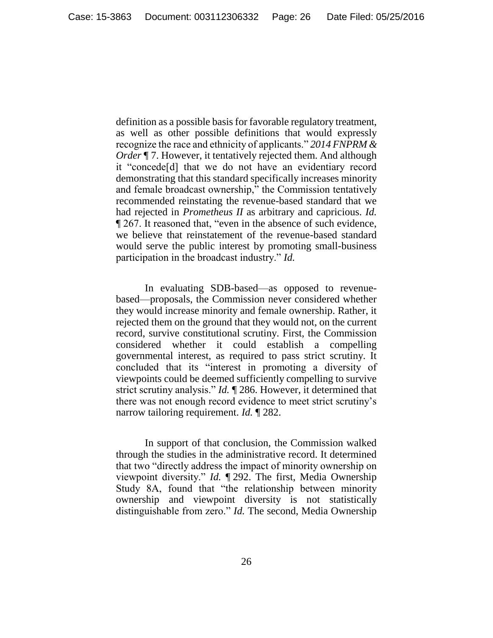definition as a possible basis for favorable regulatory treatment, as well as other possible definitions that would expressly recognize the race and ethnicity of applicants." *2014 FNPRM & Order* ¶ 7. However, it tentatively rejected them. And although it "concede[d] that we do not have an evidentiary record demonstrating that this standard specifically increases minority and female broadcast ownership," the Commission tentatively recommended reinstating the revenue-based standard that we had rejected in *Prometheus II* as arbitrary and capricious. *Id.* ¶ 267. It reasoned that, "even in the absence of such evidence, we believe that reinstatement of the revenue-based standard would serve the public interest by promoting small-business participation in the broadcast industry." *Id.*

In evaluating SDB-based—as opposed to revenuebased—proposals, the Commission never considered whether they would increase minority and female ownership. Rather, it rejected them on the ground that they would not, on the current record, survive constitutional scrutiny. First, the Commission considered whether it could establish a compelling governmental interest, as required to pass strict scrutiny. It concluded that its "interest in promoting a diversity of viewpoints could be deemed sufficiently compelling to survive strict scrutiny analysis." *Id.* ¶ 286. However, it determined that there was not enough record evidence to meet strict scrutiny's narrow tailoring requirement. *Id.* ¶ 282.

In support of that conclusion, the Commission walked through the studies in the administrative record. It determined that two "directly address the impact of minority ownership on viewpoint diversity." *Id.* ¶ 292. The first, Media Ownership Study 8A, found that "the relationship between minority ownership and viewpoint diversity is not statistically distinguishable from zero." *Id.* The second, Media Ownership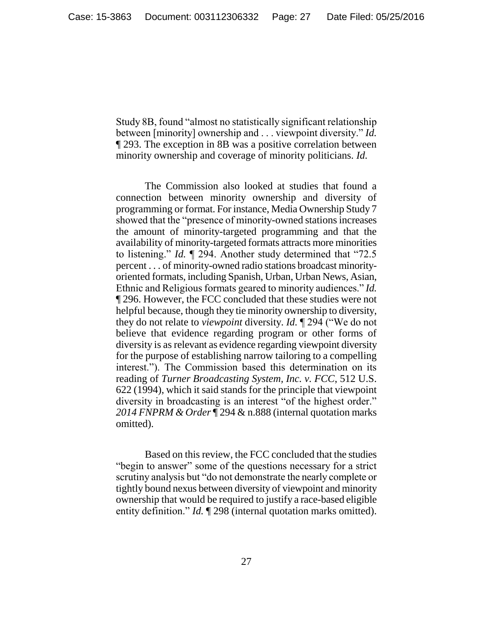Study 8B, found "almost no statistically significant relationship between [minority] ownership and . . . viewpoint diversity." *Id.* ¶ 293. The exception in 8B was a positive correlation between minority ownership and coverage of minority politicians. *Id.*

The Commission also looked at studies that found a connection between minority ownership and diversity of programming or format. For instance, Media Ownership Study 7 showed that the "presence of minority-owned stations increases the amount of minority-targeted programming and that the availability of minority-targeted formats attracts more minorities to listening." *Id.* ¶ 294. Another study determined that "72.5 percent . . . of minority-owned radio stations broadcast minorityoriented formats, including Spanish, Urban, Urban News, Asian, Ethnic and Religious formats geared to minority audiences." *Id.* ¶ 296. However, the FCC concluded that these studies were not helpful because, though they tie minority ownership to diversity, they do not relate to *viewpoint* diversity. *Id.* ¶ 294 ("We do not believe that evidence regarding program or other forms of diversity is as relevant as evidence regarding viewpoint diversity for the purpose of establishing narrow tailoring to a compelling interest."). The Commission based this determination on its reading of *Turner Broadcasting System, Inc. v. FCC*, 512 U.S. 622 (1994), which it said stands for the principle that viewpoint diversity in broadcasting is an interest "of the highest order." *2014 FNPRM & Order* ¶ 294 & n.888 (internal quotation marks omitted).

Based on this review, the FCC concluded that the studies "begin to answer" some of the questions necessary for a strict scrutiny analysis but "do not demonstrate the nearly complete or tightly bound nexus between diversity of viewpoint and minority ownership that would be required to justify a race-based eligible entity definition." *Id.* 1298 (internal quotation marks omitted).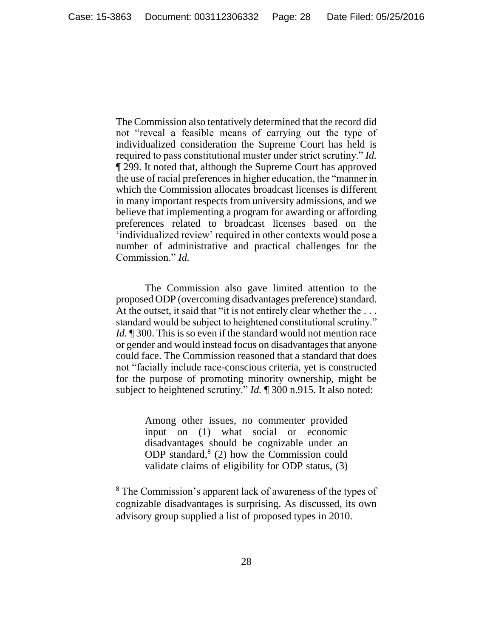The Commission also tentatively determined that the record did not "reveal a feasible means of carrying out the type of individualized consideration the Supreme Court has held is required to pass constitutional muster under strict scrutiny." *Id.* ¶ 299. It noted that, although the Supreme Court has approved the use of racial preferences in higher education, the "manner in which the Commission allocates broadcast licenses is different in many important respects from university admissions, and we believe that implementing a program for awarding or affording preferences related to broadcast licenses based on the 'individualized review' required in other contexts would pose a number of administrative and practical challenges for the Commission." *Id.*

The Commission also gave limited attention to the proposed ODP (overcoming disadvantages preference) standard. At the outset, it said that "it is not entirely clear whether the ... standard would be subject to heightened constitutional scrutiny." *Id.* 1300. This is so even if the standard would not mention race or gender and would instead focus on disadvantages that anyone could face. The Commission reasoned that a standard that does not "facially include race-conscious criteria, yet is constructed for the purpose of promoting minority ownership, might be subject to heightened scrutiny." *Id.* 1 300 n.915. It also noted:

> Among other issues, no commenter provided input on (1) what social or economic disadvantages should be cognizable under an ODP standard, $8(2)$  how the Commission could validate claims of eligibility for ODP status, (3)

 $\overline{a}$ 

<sup>8</sup> The Commission's apparent lack of awareness of the types of cognizable disadvantages is surprising. As discussed, its own advisory group supplied a list of proposed types in 2010.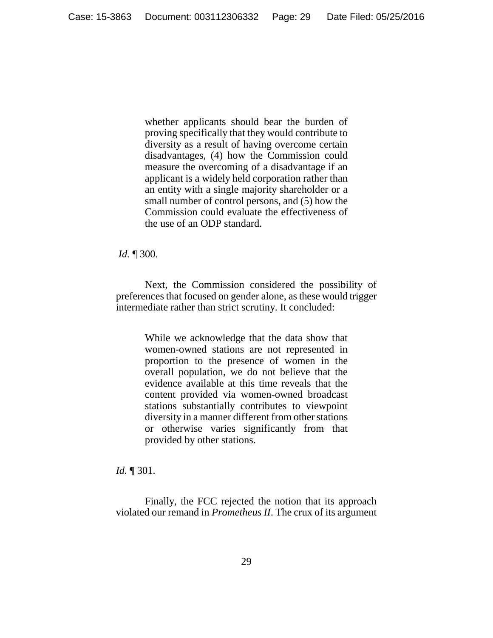whether applicants should bear the burden of proving specifically that they would contribute to diversity as a result of having overcome certain disadvantages, (4) how the Commission could measure the overcoming of a disadvantage if an applicant is a widely held corporation rather than an entity with a single majority shareholder or a small number of control persons, and (5) how the Commission could evaluate the effectiveness of the use of an ODP standard.

*Id.* ¶ 300.

Next, the Commission considered the possibility of preferences that focused on gender alone, as these would trigger intermediate rather than strict scrutiny. It concluded:

> While we acknowledge that the data show that women-owned stations are not represented in proportion to the presence of women in the overall population, we do not believe that the evidence available at this time reveals that the content provided via women-owned broadcast stations substantially contributes to viewpoint diversity in a manner different from other stations or otherwise varies significantly from that provided by other stations.

*Id.* ¶ 301.

Finally, the FCC rejected the notion that its approach violated our remand in *Prometheus II*. The crux of its argument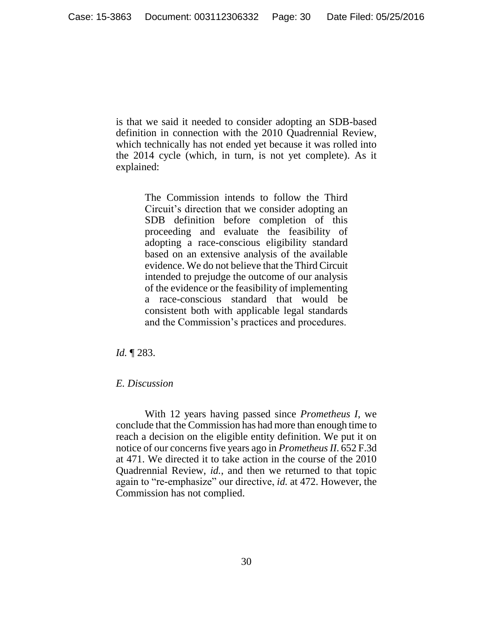is that we said it needed to consider adopting an SDB-based definition in connection with the 2010 Quadrennial Review, which technically has not ended yet because it was rolled into the 2014 cycle (which, in turn, is not yet complete). As it explained:

> The Commission intends to follow the Third Circuit's direction that we consider adopting an SDB definition before completion of this proceeding and evaluate the feasibility of adopting a race-conscious eligibility standard based on an extensive analysis of the available evidence. We do not believe that the Third Circuit intended to prejudge the outcome of our analysis of the evidence or the feasibility of implementing a race-conscious standard that would be consistent both with applicable legal standards and the Commission's practices and procedures.

*Id.* ¶ 283.

# <span id="page-29-0"></span>*E. Discussion*

With 12 years having passed since *Prometheus I*, we conclude that the Commission has had more than enough time to reach a decision on the eligible entity definition. We put it on notice of our concerns five years ago in *Prometheus II*. 652 F.3d at 471. We directed it to take action in the course of the 2010 Quadrennial Review, *id.*, and then we returned to that topic again to "re-emphasize" our directive, *id.* at 472. However, the Commission has not complied.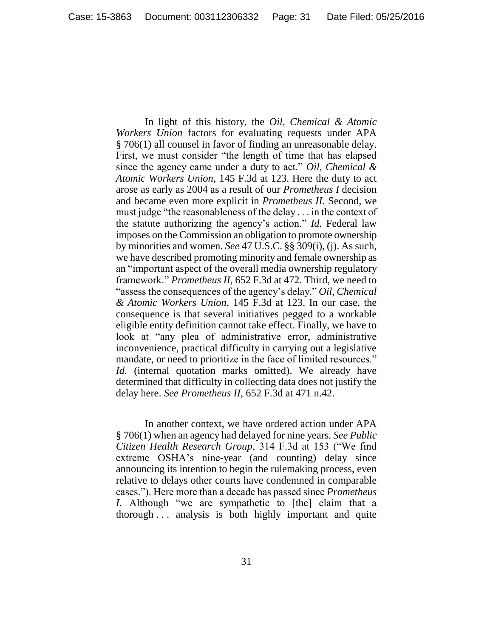In light of this history, the *Oil, Chemical & Atomic Workers Union* factors for evaluating requests under APA § 706(1) all counsel in favor of finding an unreasonable delay. First, we must consider "the length of time that has elapsed since the agency came under a duty to act." *Oil, Chemical & Atomic Workers Union*, 145 F.3d at 123. Here the duty to act arose as early as 2004 as a result of our *Prometheus I* decision and became even more explicit in *Prometheus II*. Second, we must judge "the reasonableness of the delay . . . in the context of the statute authorizing the agency's action." *Id.* Federal law imposes on the Commission an obligation to promote ownership by minorities and women. *See* 47 U.S.C. §§ 309(i), (j). As such, we have described promoting minority and female ownership as an "important aspect of the overall media ownership regulatory framework." *Prometheus II*, 652 F.3d at 472. Third, we need to "assess the consequences of the agency's delay." *Oil, Chemical & Atomic Workers Union*, 145 F.3d at 123. In our case, the consequence is that several initiatives pegged to a workable eligible entity definition cannot take effect. Finally, we have to look at "any plea of administrative error, administrative inconvenience, practical difficulty in carrying out a legislative mandate, or need to prioritize in the face of limited resources." *Id.* (internal quotation marks omitted). We already have determined that difficulty in collecting data does not justify the delay here. *See Prometheus II*, 652 F.3d at 471 n.42.

In another context, we have ordered action under APA § 706(1) when an agency had delayed for nine years. *See Public Citizen Health Research Group*, 314 F.3d at 153 ("We find extreme OSHA's nine-year (and counting) delay since announcing its intention to begin the rulemaking process, even relative to delays other courts have condemned in comparable cases."). Here more than a decade has passed since *Prometheus I*. Although "we are sympathetic to [the] claim that a thorough . . . analysis is both highly important and quite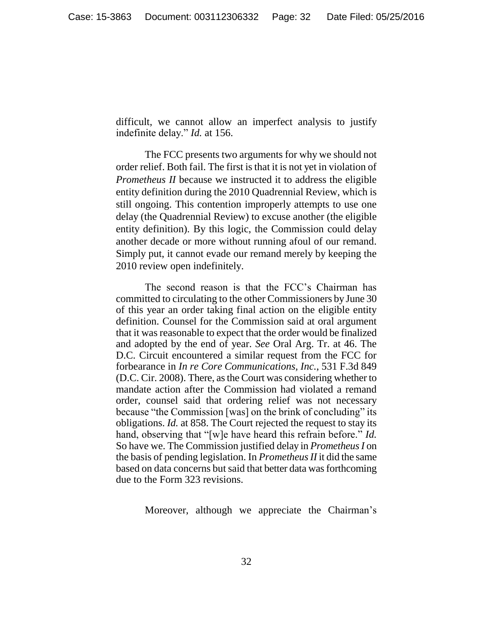difficult, we cannot allow an imperfect analysis to justify indefinite delay." *Id.* at 156.

The FCC presents two arguments for why we should not order relief. Both fail. The first is that it is not yet in violation of *Prometheus II* because we instructed it to address the eligible entity definition during the 2010 Quadrennial Review, which is still ongoing. This contention improperly attempts to use one delay (the Quadrennial Review) to excuse another (the eligible entity definition). By this logic, the Commission could delay another decade or more without running afoul of our remand. Simply put, it cannot evade our remand merely by keeping the 2010 review open indefinitely.

The second reason is that the FCC's Chairman has committed to circulating to the other Commissioners by June 30 of this year an order taking final action on the eligible entity definition. Counsel for the Commission said at oral argument that it was reasonable to expect that the order would be finalized and adopted by the end of year. *See* Oral Arg. Tr. at 46. The D.C. Circuit encountered a similar request from the FCC for forbearance in *In re Core Communications, Inc.*, 531 F.3d 849 (D.C. Cir. 2008). There, as the Court was considering whether to mandate action after the Commission had violated a remand order, counsel said that ordering relief was not necessary because "the Commission [was] on the brink of concluding" its obligations. *Id.* at 858. The Court rejected the request to stay its hand, observing that "[w]e have heard this refrain before." *Id.* So have we. The Commission justified delay in *Prometheus I* on the basis of pending legislation. In *Prometheus II* it did the same based on data concerns but said that better data was forthcoming due to the Form 323 revisions.

Moreover, although we appreciate the Chairman's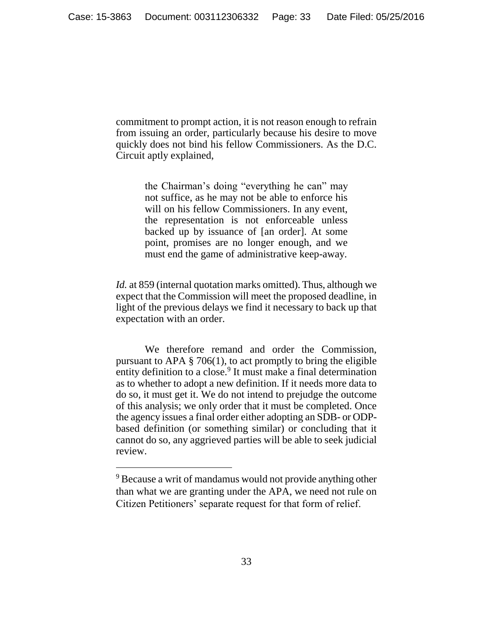commitment to prompt action, it is not reason enough to refrain from issuing an order, particularly because his desire to move quickly does not bind his fellow Commissioners. As the D.C. Circuit aptly explained,

> the Chairman's doing "everything he can" may not suffice, as he may not be able to enforce his will on his fellow Commissioners. In any event, the representation is not enforceable unless backed up by issuance of [an order]. At some point, promises are no longer enough, and we must end the game of administrative keep-away.

*Id.* at 859 (internal quotation marks omitted). Thus, although we expect that the Commission will meet the proposed deadline, in light of the previous delays we find it necessary to back up that expectation with an order.

We therefore remand and order the Commission, pursuant to APA  $\S 706(1)$ , to act promptly to bring the eligible entity definition to a close.<sup>9</sup> It must make a final determination as to whether to adopt a new definition. If it needs more data to do so, it must get it. We do not intend to prejudge the outcome of this analysis; we only order that it must be completed. Once the agency issues a final order either adopting an SDB- or ODPbased definition (or something similar) or concluding that it cannot do so, any aggrieved parties will be able to seek judicial review.

 $\overline{a}$ 

<sup>&</sup>lt;sup>9</sup> Because a writ of mandamus would not provide anything other than what we are granting under the APA, we need not rule on Citizen Petitioners' separate request for that form of relief.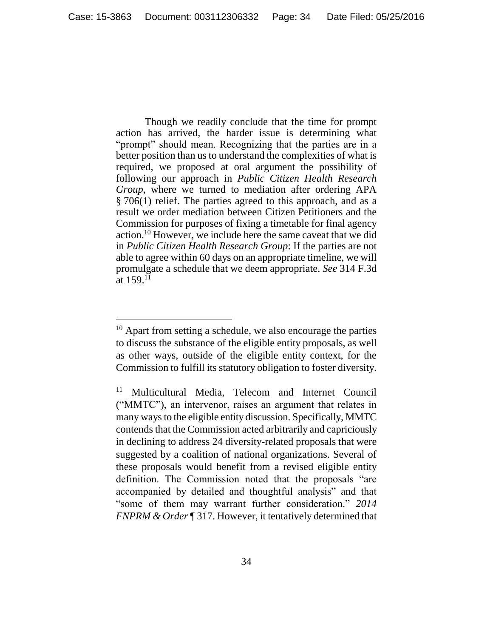Though we readily conclude that the time for prompt action has arrived, the harder issue is determining what "prompt" should mean. Recognizing that the parties are in a better position than us to understand the complexities of what is required, we proposed at oral argument the possibility of following our approach in *Public Citizen Health Research Group*, where we turned to mediation after ordering APA § 706(1) relief. The parties agreed to this approach, and as a result we order mediation between Citizen Petitioners and the Commission for purposes of fixing a timetable for final agency action.<sup>10</sup> However, we include here the same caveat that we did in *Public Citizen Health Research Group*: If the parties are not able to agree within 60 days on an appropriate timeline, we will promulgate a schedule that we deem appropriate. *See* 314 F.3d at  $159^{11}$ 

<sup>&</sup>lt;sup>10</sup> Apart from setting a schedule, we also encourage the parties to discuss the substance of the eligible entity proposals, as well as other ways, outside of the eligible entity context, for the Commission to fulfill its statutory obligation to foster diversity.

<sup>11</sup> Multicultural Media, Telecom and Internet Council ("MMTC"), an intervenor, raises an argument that relates in many ways to the eligible entity discussion. Specifically, MMTC contends that the Commission acted arbitrarily and capriciously in declining to address 24 diversity-related proposals that were suggested by a coalition of national organizations. Several of these proposals would benefit from a revised eligible entity definition. The Commission noted that the proposals "are accompanied by detailed and thoughtful analysis" and that "some of them may warrant further consideration." *2014 FNPRM & Order* ¶ 317. However, it tentatively determined that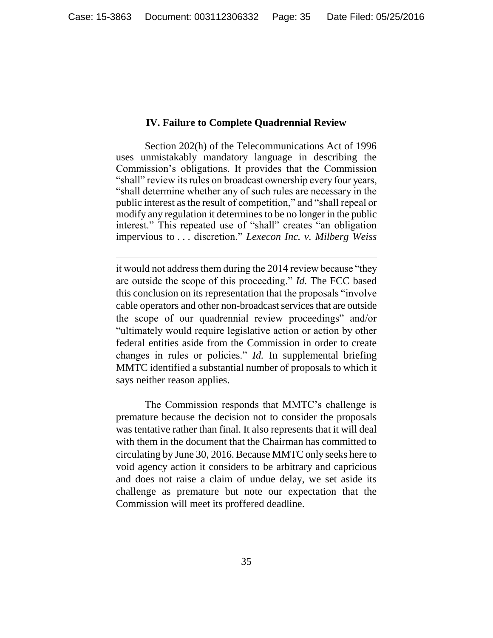# **IV. Failure to Complete Quadrennial Review**

<span id="page-34-0"></span>Section 202(h) of the Telecommunications Act of 1996 uses unmistakably mandatory language in describing the Commission's obligations. It provides that the Commission "shall" review its rules on broadcast ownership every four years, "shall determine whether any of such rules are necessary in the public interest as the result of competition," and "shall repeal or modify any regulation it determines to be no longer in the public interest." This repeated use of "shall" creates "an obligation impervious to . . . discretion." *Lexecon Inc. v. Milberg Weiss* 

it would not address them during the 2014 review because "they are outside the scope of this proceeding." *Id.* The FCC based this conclusion on its representation that the proposals "involve cable operators and other non-broadcast services that are outside the scope of our quadrennial review proceedings" and/or "ultimately would require legislative action or action by other federal entities aside from the Commission in order to create changes in rules or policies." *Id.* In supplemental briefing MMTC identified a substantial number of proposals to which it says neither reason applies.

The Commission responds that MMTC's challenge is premature because the decision not to consider the proposals was tentative rather than final. It also represents that it will deal with them in the document that the Chairman has committed to circulating by June 30, 2016. Because MMTC only seeks here to void agency action it considers to be arbitrary and capricious and does not raise a claim of undue delay, we set aside its challenge as premature but note our expectation that the Commission will meet its proffered deadline.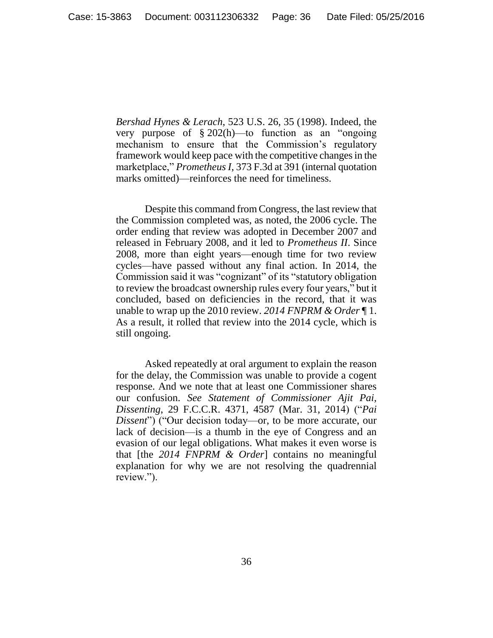*Bershad Hynes & Lerach*, 523 U.S. 26, 35 (1998). Indeed, the very purpose of § 202(h)—to function as an "ongoing mechanism to ensure that the Commission's regulatory framework would keep pace with the competitive changes in the marketplace," *Prometheus I*, 373 F.3d at 391 (internal quotation marks omitted)—reinforces the need for timeliness.

Despite this command from Congress, the last review that the Commission completed was, as noted, the 2006 cycle. The order ending that review was adopted in December 2007 and released in February 2008, and it led to *Prometheus II*. Since 2008, more than eight years—enough time for two review cycles—have passed without any final action. In 2014, the Commission said it was "cognizant" of its "statutory obligation to review the broadcast ownership rules every four years," but it concluded, based on deficiencies in the record, that it was unable to wrap up the 2010 review. *2014 FNPRM & Order* ¶ 1. As a result, it rolled that review into the 2014 cycle, which is still ongoing.

Asked repeatedly at oral argument to explain the reason for the delay, the Commission was unable to provide a cogent response. And we note that at least one Commissioner shares our confusion. *See Statement of Commissioner Ajit Pai, Dissenting*, 29 F.C.C.R. 4371, 4587 (Mar. 31, 2014) ("*Pai Dissent*") ("Our decision today—or, to be more accurate, our lack of decision—is a thumb in the eye of Congress and an evasion of our legal obligations. What makes it even worse is that [the *2014 FNPRM & Order*] contains no meaningful explanation for why we are not resolving the quadrennial review.").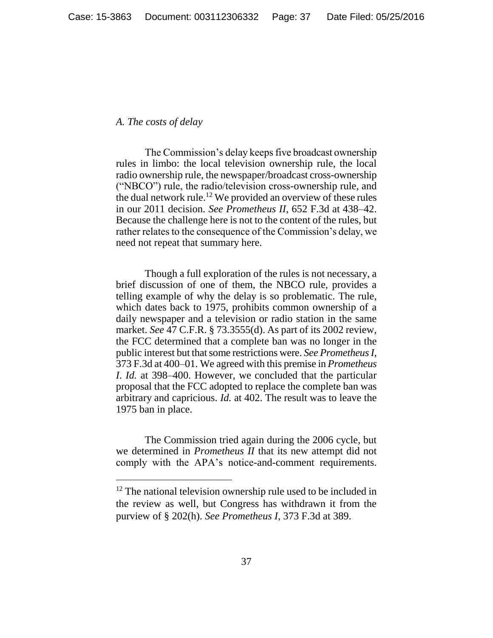#### <span id="page-36-0"></span>*A. The costs of delay*

 $\overline{a}$ 

The Commission's delay keeps five broadcast ownership rules in limbo: the local television ownership rule, the local radio ownership rule, the newspaper/broadcast cross-ownership ("NBCO") rule, the radio/television cross-ownership rule, and the dual network rule.<sup>12</sup> We provided an overview of these rules in our 2011 decision. *See Prometheus II*, 652 F.3d at 438–42. Because the challenge here is not to the content of the rules, but rather relates to the consequence of the Commission's delay, we need not repeat that summary here.

Though a full exploration of the rules is not necessary, a brief discussion of one of them, the NBCO rule, provides a telling example of why the delay is so problematic. The rule, which dates back to 1975, prohibits common ownership of a daily newspaper and a television or radio station in the same market. *See* 47 C.F.R. § 73.3555(d). As part of its 2002 review, the FCC determined that a complete ban was no longer in the public interest but that some restrictions were. *See Prometheus I*, 373 F.3d at 400–01. We agreed with this premise in *Prometheus I*. *Id.* at 398–400. However, we concluded that the particular proposal that the FCC adopted to replace the complete ban was arbitrary and capricious. *Id.* at 402. The result was to leave the 1975 ban in place.

The Commission tried again during the 2006 cycle, but we determined in *Prometheus II* that its new attempt did not comply with the APA's notice-and-comment requirements.

 $12$  The national television ownership rule used to be included in the review as well, but Congress has withdrawn it from the purview of § 202(h). *See Prometheus I*, 373 F.3d at 389.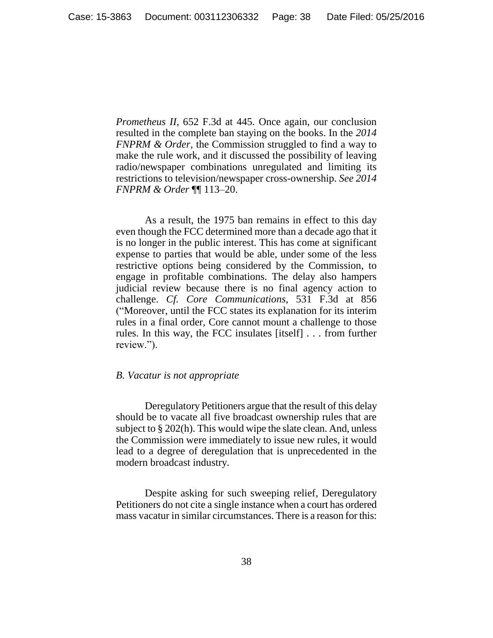*Prometheus II*, 652 F.3d at 445. Once again, our conclusion resulted in the complete ban staying on the books. In the *2014 FNPRM & Order*, the Commission struggled to find a way to make the rule work, and it discussed the possibility of leaving radio/newspaper combinations unregulated and limiting its restrictions to television/newspaper cross-ownership. *See 2014 FNPRM & Order* ¶¶ 113–20.

As a result, the 1975 ban remains in effect to this day even though the FCC determined more than a decade ago that it is no longer in the public interest. This has come at significant expense to parties that would be able, under some of the less restrictive options being considered by the Commission, to engage in profitable combinations. The delay also hampers judicial review because there is no final agency action to challenge. *Cf. Core Communications*, 531 F.3d at 856 ("Moreover, until the FCC states its explanation for its interim rules in a final order, Core cannot mount a challenge to those rules. In this way, the FCC insulates [itself] . . . from further review.").

## <span id="page-37-0"></span>*B. Vacatur is not appropriate*

Deregulatory Petitioners argue that the result of this delay should be to vacate all five broadcast ownership rules that are subject to § 202(h). This would wipe the slate clean. And, unless the Commission were immediately to issue new rules, it would lead to a degree of deregulation that is unprecedented in the modern broadcast industry.

Despite asking for such sweeping relief, Deregulatory Petitioners do not cite a single instance when a court has ordered mass vacatur in similar circumstances. There is a reason for this: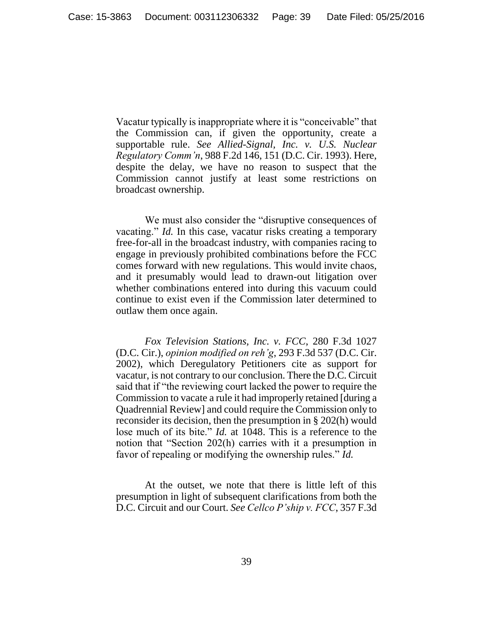Vacatur typically is inappropriate where it is "conceivable" that the Commission can, if given the opportunity, create a supportable rule. *See Allied-Signal, Inc. v. U.S. Nuclear Regulatory Comm'n*, 988 F.2d 146, 151 (D.C. Cir. 1993). Here, despite the delay, we have no reason to suspect that the Commission cannot justify at least some restrictions on broadcast ownership.

We must also consider the "disruptive consequences of vacating." *Id.* In this case, vacatur risks creating a temporary free-for-all in the broadcast industry, with companies racing to engage in previously prohibited combinations before the FCC comes forward with new regulations. This would invite chaos, and it presumably would lead to drawn-out litigation over whether combinations entered into during this vacuum could continue to exist even if the Commission later determined to outlaw them once again.

*Fox Television Stations, Inc. v. FCC*, 280 F.3d 1027 (D.C. Cir.), *opinion modified on reh'g*, 293 F.3d 537 (D.C. Cir. 2002), which Deregulatory Petitioners cite as support for vacatur, is not contrary to our conclusion. There the D.C. Circuit said that if "the reviewing court lacked the power to require the Commission to vacate a rule it had improperly retained [during a Quadrennial Review] and could require the Commission only to reconsider its decision, then the presumption in § 202(h) would lose much of its bite." *Id.* at 1048. This is a reference to the notion that "Section 202(h) carries with it a presumption in favor of repealing or modifying the ownership rules." *Id.*

At the outset, we note that there is little left of this presumption in light of subsequent clarifications from both the D.C. Circuit and our Court. *See Cellco P'ship v. FCC*, 357 F.3d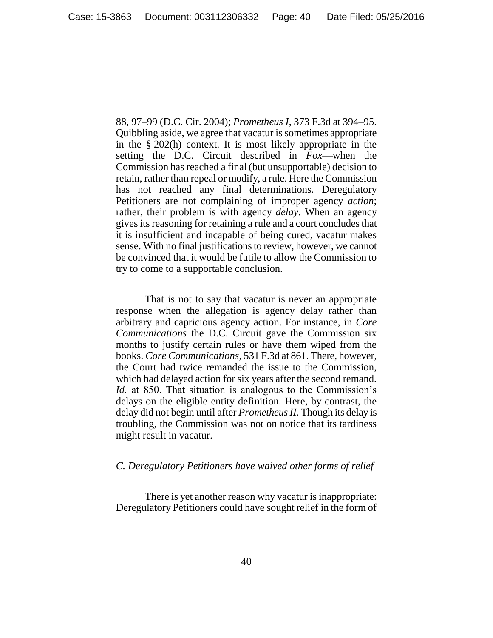88, 97–99 (D.C. Cir. 2004); *Prometheus I*, 373 F.3d at 394–95. Quibbling aside, we agree that vacatur is sometimes appropriate in the § 202(h) context. It is most likely appropriate in the setting the D.C. Circuit described in *Fox*—when the Commission has reached a final (but unsupportable) decision to retain, rather than repeal or modify, a rule. Here the Commission has not reached any final determinations. Deregulatory Petitioners are not complaining of improper agency *action*; rather, their problem is with agency *delay*. When an agency gives its reasoning for retaining a rule and a court concludes that it is insufficient and incapable of being cured, vacatur makes sense. With no final justifications to review, however, we cannot be convinced that it would be futile to allow the Commission to try to come to a supportable conclusion.

That is not to say that vacatur is never an appropriate response when the allegation is agency delay rather than arbitrary and capricious agency action. For instance, in *Core Communications* the D.C. Circuit gave the Commission six months to justify certain rules or have them wiped from the books. *Core Communications*, 531 F.3d at 861. There, however, the Court had twice remanded the issue to the Commission, which had delayed action for six years after the second remand. *Id.* at 850. That situation is analogous to the Commission's delays on the eligible entity definition. Here, by contrast, the delay did not begin until after *Prometheus II*. Though its delay is troubling, the Commission was not on notice that its tardiness might result in vacatur.

## <span id="page-39-0"></span>*C. Deregulatory Petitioners have waived other forms of relief*

There is yet another reason why vacatur is inappropriate: Deregulatory Petitioners could have sought relief in the form of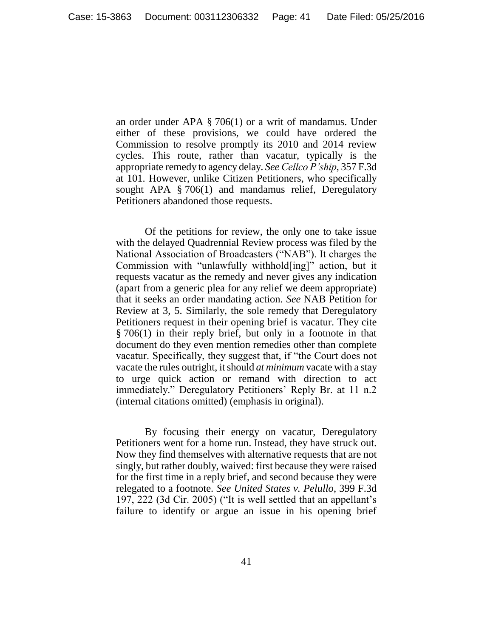an order under APA § 706(1) or a writ of mandamus. Under either of these provisions, we could have ordered the Commission to resolve promptly its 2010 and 2014 review cycles. This route, rather than vacatur, typically is the appropriate remedy to agency delay. *See Cellco P'ship*, 357 F.3d at 101. However, unlike Citizen Petitioners, who specifically sought APA § 706(1) and mandamus relief, Deregulatory Petitioners abandoned those requests.

Of the petitions for review, the only one to take issue with the delayed Quadrennial Review process was filed by the National Association of Broadcasters ("NAB"). It charges the Commission with "unlawfully withhold[ing]" action, but it requests vacatur as the remedy and never gives any indication (apart from a generic plea for any relief we deem appropriate) that it seeks an order mandating action. *See* NAB Petition for Review at 3, 5. Similarly, the sole remedy that Deregulatory Petitioners request in their opening brief is vacatur. They cite § 706(1) in their reply brief, but only in a footnote in that document do they even mention remedies other than complete vacatur. Specifically, they suggest that, if "the Court does not vacate the rules outright, it should *at minimum* vacate with a stay to urge quick action or remand with direction to act immediately." Deregulatory Petitioners' Reply Br. at 11 n.2 (internal citations omitted) (emphasis in original).

By focusing their energy on vacatur, Deregulatory Petitioners went for a home run. Instead, they have struck out. Now they find themselves with alternative requests that are not singly, but rather doubly, waived: first because they were raised for the first time in a reply brief, and second because they were relegated to a footnote. *See United States v. Pelullo*, 399 F.3d 197, 222 (3d Cir. 2005) ("It is well settled that an appellant's failure to identify or argue an issue in his opening brief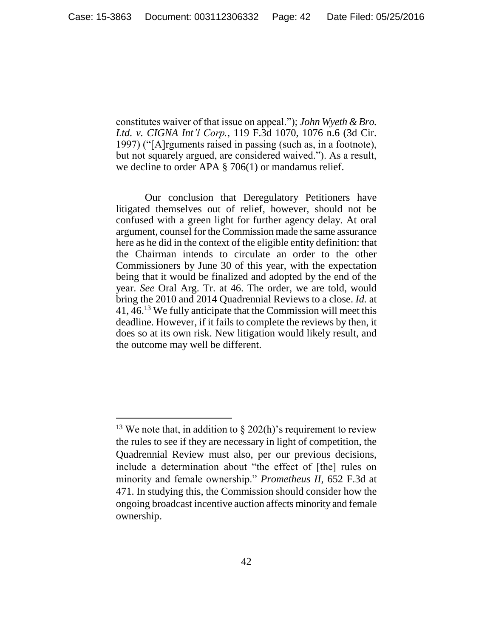constitutes waiver of that issue on appeal."); *John Wyeth & Bro. Ltd. v. CIGNA Int'l Corp.*, 119 F.3d 1070, 1076 n.6 (3d Cir. 1997) ("[A]rguments raised in passing (such as, in a footnote), but not squarely argued, are considered waived."). As a result, we decline to order APA § 706(1) or mandamus relief.

Our conclusion that Deregulatory Petitioners have litigated themselves out of relief, however, should not be confused with a green light for further agency delay. At oral argument, counsel for the Commission made the same assurance here as he did in the context of the eligible entity definition: that the Chairman intends to circulate an order to the other Commissioners by June 30 of this year, with the expectation being that it would be finalized and adopted by the end of the year. *See* Oral Arg. Tr. at 46. The order, we are told, would bring the 2010 and 2014 Quadrennial Reviews to a close. *Id.* at 41, 46.<sup>13</sup> We fully anticipate that the Commission will meet this deadline. However, if it fails to complete the reviews by then, it does so at its own risk. New litigation would likely result, and the outcome may well be different.

 $\overline{a}$ 

<sup>&</sup>lt;sup>13</sup> We note that, in addition to  $\S$  202(h)'s requirement to review the rules to see if they are necessary in light of competition, the Quadrennial Review must also, per our previous decisions, include a determination about "the effect of [the] rules on minority and female ownership." *Prometheus II*, 652 F.3d at 471. In studying this, the Commission should consider how the ongoing broadcast incentive auction affects minority and female ownership.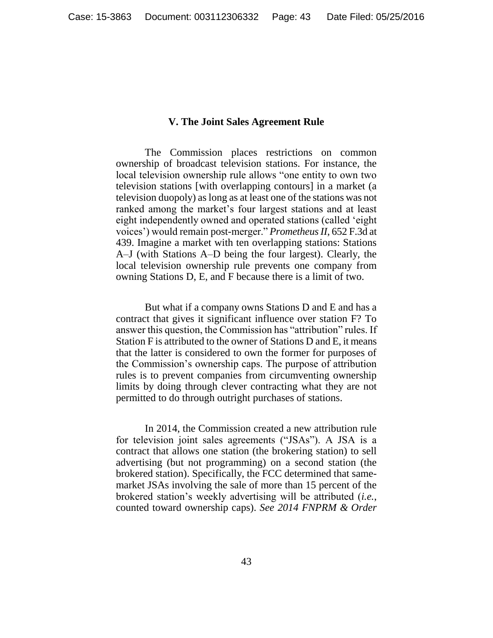### **V. The Joint Sales Agreement Rule**

<span id="page-42-0"></span>The Commission places restrictions on common ownership of broadcast television stations. For instance, the local television ownership rule allows "one entity to own two television stations [with overlapping contours] in a market (a television duopoly) as long as at least one of the stations was not ranked among the market's four largest stations and at least eight independently owned and operated stations (called 'eight voices') would remain post-merger." *Prometheus II*, 652 F.3d at 439. Imagine a market with ten overlapping stations: Stations A–J (with Stations A–D being the four largest). Clearly, the local television ownership rule prevents one company from owning Stations D, E, and F because there is a limit of two.

But what if a company owns Stations D and E and has a contract that gives it significant influence over station F? To answer this question, the Commission has "attribution" rules. If Station F is attributed to the owner of Stations D and E, it means that the latter is considered to own the former for purposes of the Commission's ownership caps. The purpose of attribution rules is to prevent companies from circumventing ownership limits by doing through clever contracting what they are not permitted to do through outright purchases of stations.

In 2014, the Commission created a new attribution rule for television joint sales agreements ("JSAs"). A JSA is a contract that allows one station (the brokering station) to sell advertising (but not programming) on a second station (the brokered station). Specifically, the FCC determined that samemarket JSAs involving the sale of more than 15 percent of the brokered station's weekly advertising will be attributed (*i.e.*, counted toward ownership caps). *See 2014 FNPRM & Order*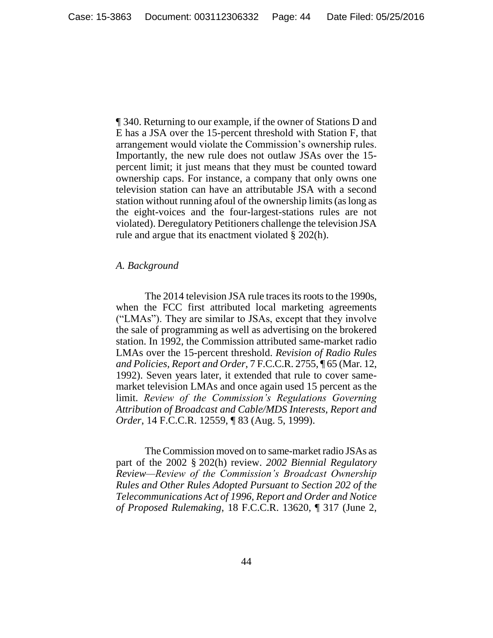¶ 340. Returning to our example, if the owner of Stations D and E has a JSA over the 15-percent threshold with Station F, that arrangement would violate the Commission's ownership rules. Importantly, the new rule does not outlaw JSAs over the 15 percent limit; it just means that they must be counted toward ownership caps. For instance, a company that only owns one television station can have an attributable JSA with a second station without running afoul of the ownership limits (as long as the eight-voices and the four-largest-stations rules are not violated). Deregulatory Petitioners challenge the television JSA rule and argue that its enactment violated § 202(h).

## <span id="page-43-0"></span>*A. Background*

The 2014 television JSA rule traces its roots to the 1990s, when the FCC first attributed local marketing agreements ("LMAs"). They are similar to JSAs, except that they involve the sale of programming as well as advertising on the brokered station. In 1992, the Commission attributed same-market radio LMAs over the 15-percent threshold. *Revision of Radio Rules and Policies, Report and Order*, 7 F.C.C.R. 2755, ¶ 65 (Mar. 12, 1992). Seven years later, it extended that rule to cover samemarket television LMAs and once again used 15 percent as the limit. *Review of the Commission's Regulations Governing Attribution of Broadcast and Cable/MDS Interests, Report and Order*, 14 F.C.C.R. 12559, ¶ 83 (Aug. 5, 1999).

The Commission moved on to same-market radio JSAs as part of the 2002 § 202(h) review. *2002 Biennial Regulatory Review—Review of the Commission's Broadcast Ownership Rules and Other Rules Adopted Pursuant to Section 202 of the Telecommunications Act of 1996, Report and Order and Notice of Proposed Rulemaking*, 18 F.C.C.R. 13620, ¶ 317 (June 2,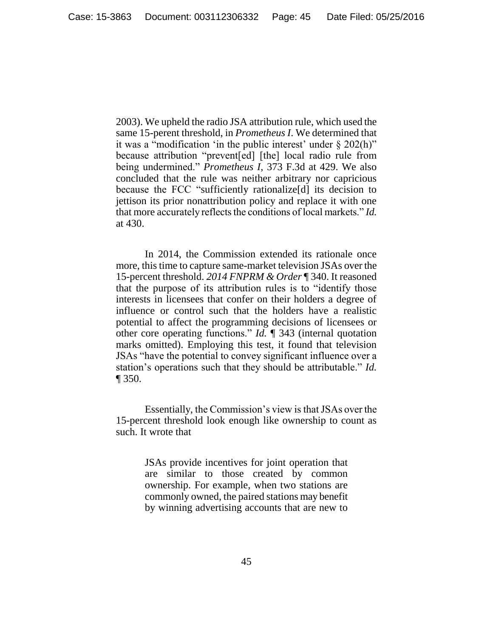2003). We upheld the radio JSA attribution rule, which used the same 15-perent threshold, in *Prometheus I*. We determined that it was a "modification 'in the public interest' under § 202(h)" because attribution "prevent[ed] [the] local radio rule from being undermined." *Prometheus I*, 373 F.3d at 429. We also concluded that the rule was neither arbitrary nor capricious because the FCC "sufficiently rationalize[d] its decision to jettison its prior nonattribution policy and replace it with one that more accurately reflects the conditions of local markets." *Id.* at 430.

In 2014, the Commission extended its rationale once more, this time to capture same-market television JSAs over the 15-percent threshold. *2014 FNPRM & Order* ¶ 340. It reasoned that the purpose of its attribution rules is to "identify those interests in licensees that confer on their holders a degree of influence or control such that the holders have a realistic potential to affect the programming decisions of licensees or other core operating functions." *Id.* ¶ 343 (internal quotation marks omitted). Employing this test, it found that television JSAs "have the potential to convey significant influence over a station's operations such that they should be attributable." *Id.* ¶ 350.

Essentially, the Commission's view is that JSAs over the 15-percent threshold look enough like ownership to count as such. It wrote that

> JSAs provide incentives for joint operation that are similar to those created by common ownership. For example, when two stations are commonly owned, the paired stations may benefit by winning advertising accounts that are new to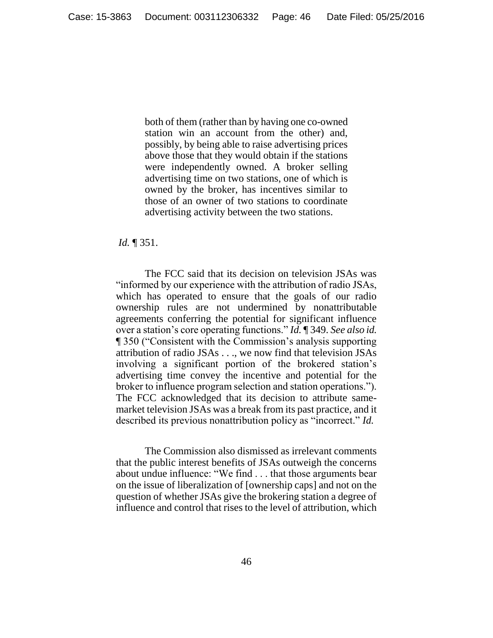both of them (rather than by having one co-owned station win an account from the other) and, possibly, by being able to raise advertising prices above those that they would obtain if the stations were independently owned. A broker selling advertising time on two stations, one of which is owned by the broker, has incentives similar to those of an owner of two stations to coordinate advertising activity between the two stations.

### *Id.* ¶ 351.

The FCC said that its decision on television JSAs was "informed by our experience with the attribution of radio JSAs, which has operated to ensure that the goals of our radio ownership rules are not undermined by nonattributable agreements conferring the potential for significant influence over a station's core operating functions." *Id.* ¶ 349. *See also id.* ¶ 350 ("Consistent with the Commission's analysis supporting attribution of radio JSAs . . ., we now find that television JSAs involving a significant portion of the brokered station's advertising time convey the incentive and potential for the broker to influence program selection and station operations."). The FCC acknowledged that its decision to attribute samemarket television JSAs was a break from its past practice, and it described its previous nonattribution policy as "incorrect." *Id.*

The Commission also dismissed as irrelevant comments that the public interest benefits of JSAs outweigh the concerns about undue influence: "We find . . . that those arguments bear on the issue of liberalization of [ownership caps] and not on the question of whether JSAs give the brokering station a degree of influence and control that rises to the level of attribution, which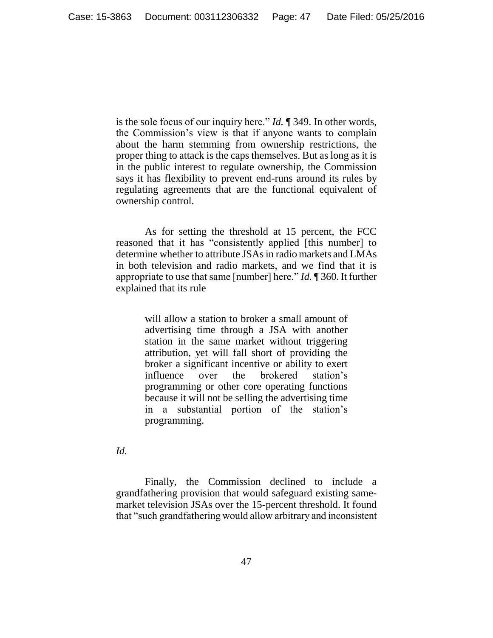is the sole focus of our inquiry here." *Id.* ¶ 349. In other words, the Commission's view is that if anyone wants to complain about the harm stemming from ownership restrictions, the proper thing to attack is the caps themselves. But as long as it is in the public interest to regulate ownership, the Commission says it has flexibility to prevent end-runs around its rules by regulating agreements that are the functional equivalent of ownership control.

As for setting the threshold at 15 percent, the FCC reasoned that it has "consistently applied [this number] to determine whether to attribute JSAs in radio markets and LMAs in both television and radio markets, and we find that it is appropriate to use that same [number] here." *Id.* ¶ 360. It further explained that its rule

> will allow a station to broker a small amount of advertising time through a JSA with another station in the same market without triggering attribution, yet will fall short of providing the broker a significant incentive or ability to exert influence over the brokered station's programming or other core operating functions because it will not be selling the advertising time in a substantial portion of the station's programming.

*Id.*

Finally, the Commission declined to include a grandfathering provision that would safeguard existing samemarket television JSAs over the 15-percent threshold. It found that "such grandfathering would allow arbitrary and inconsistent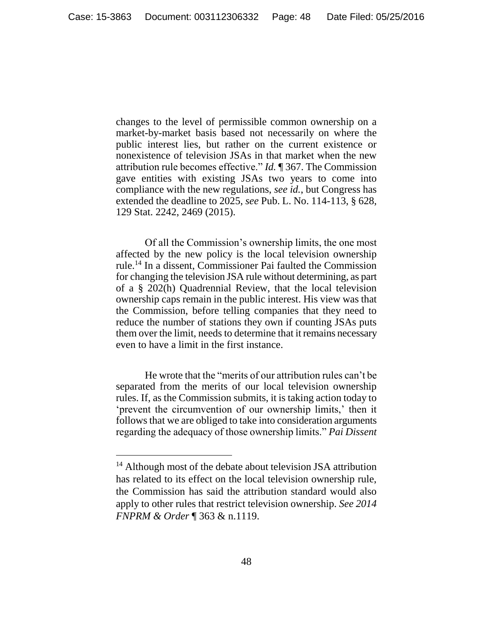changes to the level of permissible common ownership on a market-by-market basis based not necessarily on where the public interest lies, but rather on the current existence or nonexistence of television JSAs in that market when the new attribution rule becomes effective." *Id.* ¶ 367. The Commission gave entities with existing JSAs two years to come into compliance with the new regulations, *see id.*, but Congress has extended the deadline to 2025, *see* Pub. L. No. 114-113, § 628, 129 Stat. 2242, 2469 (2015).

Of all the Commission's ownership limits, the one most affected by the new policy is the local television ownership rule.<sup>14</sup> In a dissent, Commissioner Pai faulted the Commission for changing the television JSA rule without determining, as part of a § 202(h) Quadrennial Review, that the local television ownership caps remain in the public interest. His view was that the Commission, before telling companies that they need to reduce the number of stations they own if counting JSAs puts them over the limit, needs to determine that it remains necessary even to have a limit in the first instance.

He wrote that the "merits of our attribution rules can't be separated from the merits of our local television ownership rules. If, as the Commission submits, it is taking action today to 'prevent the circumvention of our ownership limits,' then it follows that we are obliged to take into consideration arguments regarding the adequacy of those ownership limits." *Pai Dissent*

 $\overline{a}$ 

<sup>&</sup>lt;sup>14</sup> Although most of the debate about television JSA attribution has related to its effect on the local television ownership rule, the Commission has said the attribution standard would also apply to other rules that restrict television ownership. *See 2014 FNPRM & Order* ¶ 363 & n.1119.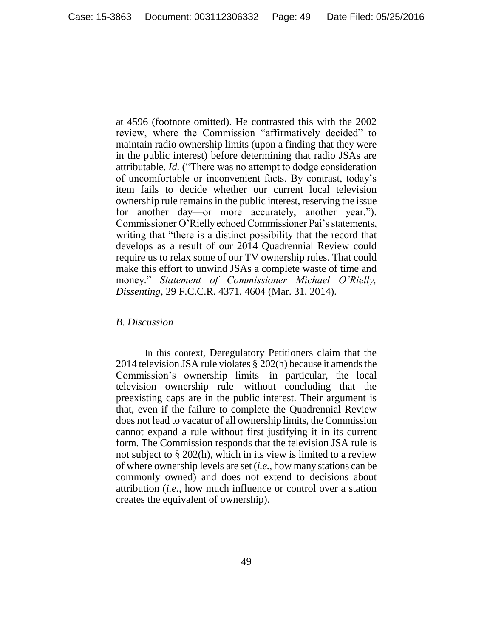at 4596 (footnote omitted). He contrasted this with the 2002 review, where the Commission "affirmatively decided" to maintain radio ownership limits (upon a finding that they were in the public interest) before determining that radio JSAs are attributable. *Id.* ("There was no attempt to dodge consideration of uncomfortable or inconvenient facts. By contrast, today's item fails to decide whether our current local television ownership rule remains in the public interest, reserving the issue for another day—or more accurately, another year."). Commissioner O'Rielly echoed Commissioner Pai's statements, writing that "there is a distinct possibility that the record that develops as a result of our 2014 Quadrennial Review could require us to relax some of our TV ownership rules. That could make this effort to unwind JSAs a complete waste of time and money." *Statement of Commissioner Michael O'Rielly, Dissenting*, 29 F.C.C.R. 4371, 4604 (Mar. 31, 2014).

#### <span id="page-48-0"></span>*B. Discussion*

In this context, Deregulatory Petitioners claim that the 2014 television JSA rule violates § 202(h) because it amends the Commission's ownership limits—in particular, the local television ownership rule—without concluding that the preexisting caps are in the public interest. Their argument is that, even if the failure to complete the Quadrennial Review does not lead to vacatur of all ownership limits, the Commission cannot expand a rule without first justifying it in its current form. The Commission responds that the television JSA rule is not subject to § 202(h), which in its view is limited to a review of where ownership levels are set (*i.e.*, how many stations can be commonly owned) and does not extend to decisions about attribution (*i.e.*, how much influence or control over a station creates the equivalent of ownership).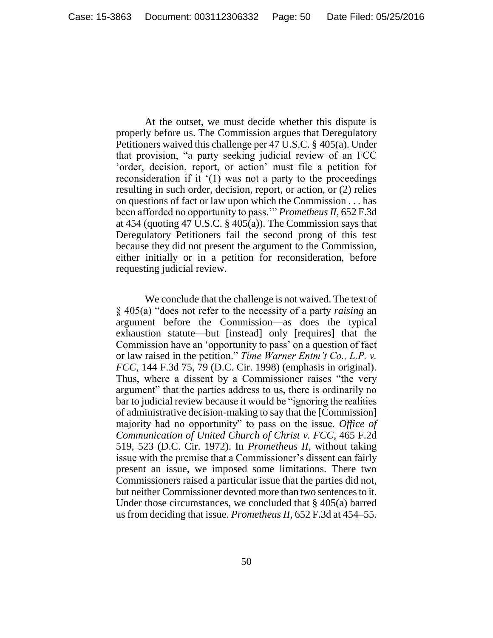At the outset, we must decide whether this dispute is properly before us. The Commission argues that Deregulatory Petitioners waived this challenge per 47 U.S.C. § 405(a). Under that provision, "a party seeking judicial review of an FCC 'order, decision, report, or action' must file a petition for reconsideration if it  $(1)$  was not a party to the proceedings resulting in such order, decision, report, or action, or (2) relies on questions of fact or law upon which the Commission . . . has been afforded no opportunity to pass.'" *Prometheus II*, 652 F.3d at 454 (quoting 47 U.S.C. § 405(a)). The Commission says that Deregulatory Petitioners fail the second prong of this test because they did not present the argument to the Commission, either initially or in a petition for reconsideration, before requesting judicial review.

We conclude that the challenge is not waived. The text of § 405(a) "does not refer to the necessity of a party *raising* an argument before the Commission—as does the typical exhaustion statute—but [instead] only [requires] that the Commission have an 'opportunity to pass' on a question of fact or law raised in the petition." *Time Warner Entm't Co., L.P. v. FCC*, 144 F.3d 75, 79 (D.C. Cir. 1998) (emphasis in original). Thus, where a dissent by a Commissioner raises "the very argument" that the parties address to us, there is ordinarily no bar to judicial review because it would be "ignoring the realities of administrative decision-making to say that the [Commission] majority had no opportunity" to pass on the issue. *Office of Communication of United Church of Christ v. FCC*, 465 F.2d 519, 523 (D.C. Cir. 1972). In *Prometheus II*, without taking issue with the premise that a Commissioner's dissent can fairly present an issue, we imposed some limitations. There two Commissioners raised a particular issue that the parties did not, but neither Commissioner devoted more than two sentences to it. Under those circumstances, we concluded that § 405(a) barred us from deciding that issue. *Prometheus II*, 652 F.3d at 454–55.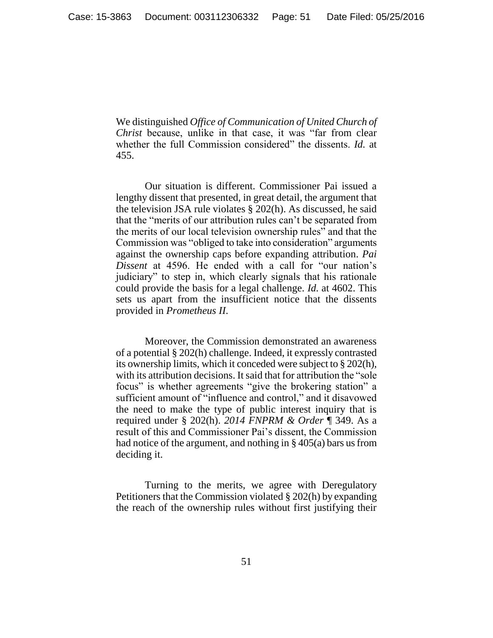We distinguished *Office of Communication of United Church of Christ* because, unlike in that case, it was "far from clear whether the full Commission considered" the dissents. *Id.* at 455.

Our situation is different. Commissioner Pai issued a lengthy dissent that presented, in great detail, the argument that the television JSA rule violates § 202(h). As discussed, he said that the "merits of our attribution rules can't be separated from the merits of our local television ownership rules" and that the Commission was "obliged to take into consideration" arguments against the ownership caps before expanding attribution. *Pai Dissent* at 4596. He ended with a call for "our nation's judiciary" to step in, which clearly signals that his rationale could provide the basis for a legal challenge. *Id.* at 4602. This sets us apart from the insufficient notice that the dissents provided in *Prometheus II*.

Moreover, the Commission demonstrated an awareness of a potential § 202(h) challenge. Indeed, it expressly contrasted its ownership limits, which it conceded were subject to § 202(h), with its attribution decisions. It said that for attribution the "sole focus" is whether agreements "give the brokering station" a sufficient amount of "influence and control," and it disavowed the need to make the type of public interest inquiry that is required under § 202(h). *2014 FNPRM & Order* ¶ 349. As a result of this and Commissioner Pai's dissent, the Commission had notice of the argument, and nothing in § 405(a) bars us from deciding it.

Turning to the merits, we agree with Deregulatory Petitioners that the Commission violated § 202(h) by expanding the reach of the ownership rules without first justifying their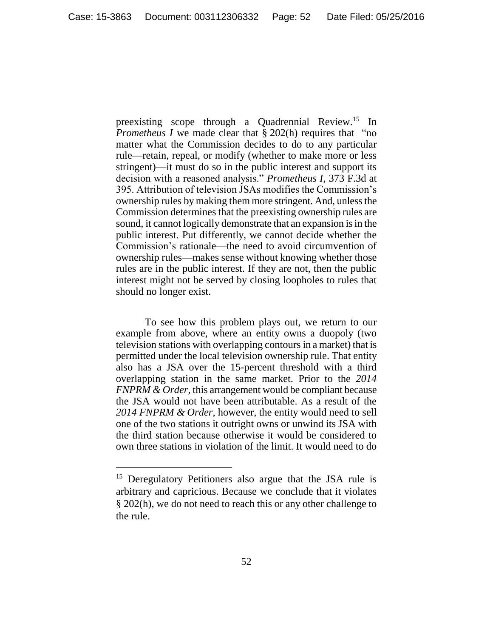preexisting scope through a Quadrennial Review.<sup>15</sup> In *Prometheus I* we made clear that § 202(h) requires that "no matter what the Commission decides to do to any particular rule—retain, repeal, or modify (whether to make more or less stringent)—it must do so in the public interest and support its decision with a reasoned analysis." *Prometheus I*, 373 F.3d at 395. Attribution of television JSAs modifies the Commission's ownership rules by making them more stringent. And, unless the Commission determines that the preexisting ownership rules are sound, it cannot logically demonstrate that an expansion is in the public interest. Put differently, we cannot decide whether the Commission's rationale—the need to avoid circumvention of ownership rules—makes sense without knowing whether those rules are in the public interest. If they are not, then the public interest might not be served by closing loopholes to rules that should no longer exist.

To see how this problem plays out, we return to our example from above, where an entity owns a duopoly (two television stations with overlapping contours in a market) that is permitted under the local television ownership rule. That entity also has a JSA over the 15-percent threshold with a third overlapping station in the same market. Prior to the *2014 FNPRM & Order*, this arrangement would be compliant because the JSA would not have been attributable. As a result of the *2014 FNPRM & Order*, however, the entity would need to sell one of the two stations it outright owns or unwind its JSA with the third station because otherwise it would be considered to own three stations in violation of the limit. It would need to do

 $\overline{a}$ 

<sup>&</sup>lt;sup>15</sup> Deregulatory Petitioners also argue that the JSA rule is arbitrary and capricious. Because we conclude that it violates § 202(h), we do not need to reach this or any other challenge to the rule.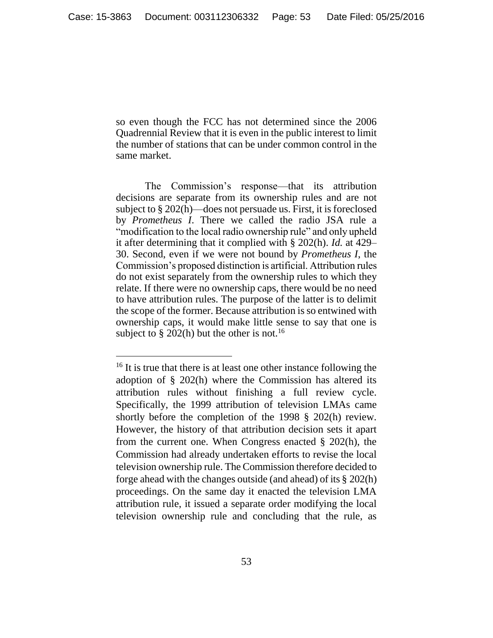so even though the FCC has not determined since the 2006 Quadrennial Review that it is even in the public interest to limit the number of stations that can be under common control in the same market.

The Commission's response—that its attribution decisions are separate from its ownership rules and are not subject to § 202(h)—does not persuade us. First, it is foreclosed by *Prometheus I*. There we called the radio JSA rule a "modification to the local radio ownership rule" and only upheld it after determining that it complied with § 202(h). *Id.* at 429– 30. Second, even if we were not bound by *Prometheus I*, the Commission's proposed distinction is artificial. Attribution rules do not exist separately from the ownership rules to which they relate. If there were no ownership caps, there would be no need to have attribution rules. The purpose of the latter is to delimit the scope of the former. Because attribution is so entwined with ownership caps, it would make little sense to say that one is subject to  $\S 202(h)$  but the other is not.<sup>16</sup>

 $16$  It is true that there is at least one other instance following the adoption of § 202(h) where the Commission has altered its attribution rules without finishing a full review cycle. Specifically, the 1999 attribution of television LMAs came shortly before the completion of the 1998 § 202(h) review. However, the history of that attribution decision sets it apart from the current one. When Congress enacted § 202(h), the Commission had already undertaken efforts to revise the local television ownership rule. The Commission therefore decided to forge ahead with the changes outside (and ahead) of its § 202(h) proceedings. On the same day it enacted the television LMA attribution rule, it issued a separate order modifying the local television ownership rule and concluding that the rule, as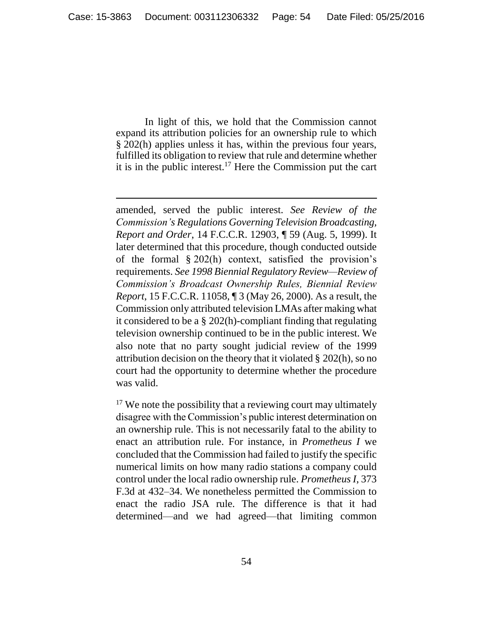In light of this, we hold that the Commission cannot expand its attribution policies for an ownership rule to which § 202(h) applies unless it has, within the previous four years, fulfilled its obligation to review that rule and determine whether it is in the public interest.<sup>17</sup> Here the Commission put the cart

amended, served the public interest. *See Review of the Commission's Regulations Governing Television Broadcasting, Report and Order*, 14 F.C.C.R. 12903, ¶ 59 (Aug. 5, 1999). It later determined that this procedure, though conducted outside of the formal § 202(h) context, satisfied the provision's requirements. *See 1998 Biennial Regulatory Review—Review of Commission's Broadcast Ownership Rules, Biennial Review Report*, 15 F.C.C.R. 11058, ¶ 3 (May 26, 2000). As a result, the Commission only attributed television LMAs after making what it considered to be a § 202(h)-compliant finding that regulating television ownership continued to be in the public interest. We also note that no party sought judicial review of the 1999 attribution decision on the theory that it violated § 202(h), so no court had the opportunity to determine whether the procedure was valid.

<sup>17</sup> We note the possibility that a reviewing court may ultimately disagree with the Commission's public interest determination on an ownership rule. This is not necessarily fatal to the ability to enact an attribution rule. For instance, in *Prometheus I* we concluded that the Commission had failed to justify the specific numerical limits on how many radio stations a company could control under the local radio ownership rule. *Prometheus I*, 373 F.3d at 432–34. We nonetheless permitted the Commission to enact the radio JSA rule. The difference is that it had determined—and we had agreed—that limiting common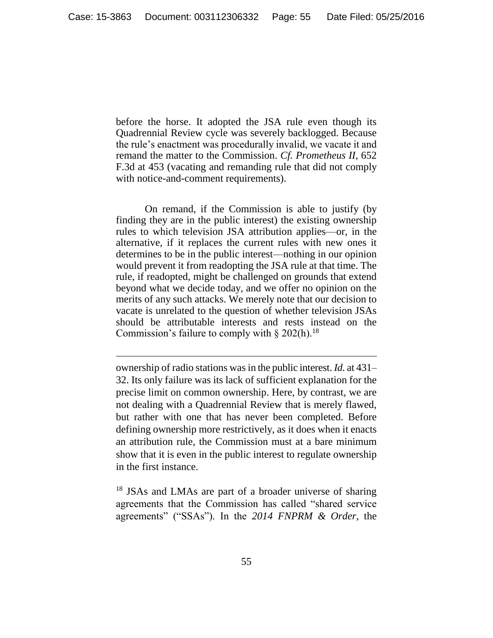before the horse. It adopted the JSA rule even though its Quadrennial Review cycle was severely backlogged. Because the rule's enactment was procedurally invalid, we vacate it and remand the matter to the Commission. *Cf. Prometheus II*, 652 F.3d at 453 (vacating and remanding rule that did not comply with notice-and-comment requirements).

On remand, if the Commission is able to justify (by finding they are in the public interest) the existing ownership rules to which television JSA attribution applies—or, in the alternative, if it replaces the current rules with new ones it determines to be in the public interest—nothing in our opinion would prevent it from readopting the JSA rule at that time. The rule, if readopted, might be challenged on grounds that extend beyond what we decide today, and we offer no opinion on the merits of any such attacks. We merely note that our decision to vacate is unrelated to the question of whether television JSAs should be attributable interests and rests instead on the Commission's failure to comply with  $\S 202(h)$ .<sup>18</sup>

ownership of radio stations was in the public interest. *Id.* at 431– 32. Its only failure was its lack of sufficient explanation for the precise limit on common ownership. Here, by contrast, we are not dealing with a Quadrennial Review that is merely flawed, but rather with one that has never been completed. Before defining ownership more restrictively, as it does when it enacts an attribution rule, the Commission must at a bare minimum show that it is even in the public interest to regulate ownership in the first instance.

<sup>18</sup> JSAs and LMAs are part of a broader universe of sharing agreements that the Commission has called "shared service agreements" ("SSAs"). In the *2014 FNPRM & Order*, the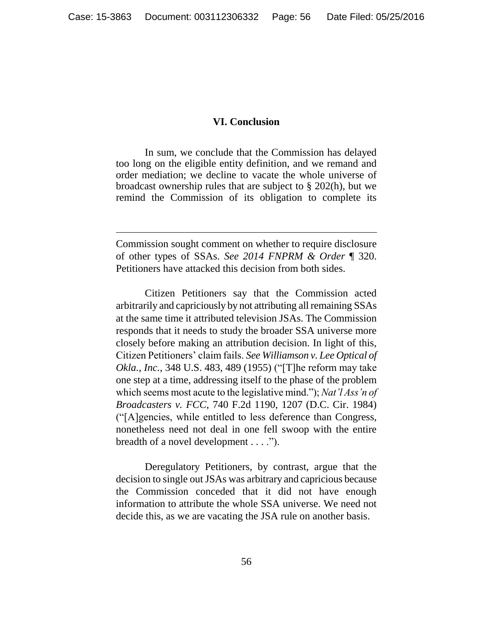#### **VI. Conclusion**

<span id="page-55-0"></span>In sum, we conclude that the Commission has delayed too long on the eligible entity definition, and we remand and order mediation; we decline to vacate the whole universe of broadcast ownership rules that are subject to § 202(h), but we remind the Commission of its obligation to complete its

Commission sought comment on whether to require disclosure of other types of SSAs. *See 2014 FNPRM & Order* ¶ 320. Petitioners have attacked this decision from both sides.

 $\overline{a}$ 

Citizen Petitioners say that the Commission acted arbitrarily and capriciously by not attributing all remaining SSAs at the same time it attributed television JSAs. The Commission responds that it needs to study the broader SSA universe more closely before making an attribution decision. In light of this, Citizen Petitioners' claim fails. *See Williamson v. Lee Optical of Okla., Inc.*, 348 U.S. 483, 489 (1955) ("[T]he reform may take one step at a time, addressing itself to the phase of the problem which seems most acute to the legislative mind."); *Nat'l Ass'n of Broadcasters v. FCC*, 740 F.2d 1190, 1207 (D.C. Cir. 1984) ("[A]gencies, while entitled to less deference than Congress, nonetheless need not deal in one fell swoop with the entire breadth of a novel development . . . .").

Deregulatory Petitioners, by contrast, argue that the decision to single out JSAs was arbitrary and capricious because the Commission conceded that it did not have enough information to attribute the whole SSA universe. We need not decide this, as we are vacating the JSA rule on another basis.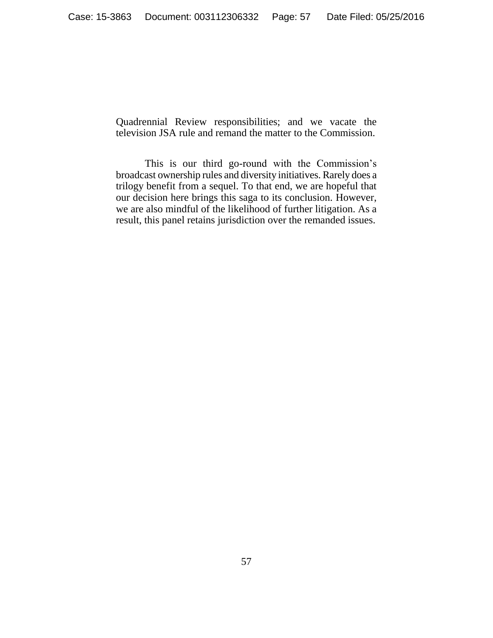Quadrennial Review responsibilities; and we vacate the television JSA rule and remand the matter to the Commission.

This is our third go-round with the Commission's broadcast ownership rules and diversity initiatives. Rarely does a trilogy benefit from a sequel. To that end, we are hopeful that our decision here brings this saga to its conclusion. However, we are also mindful of the likelihood of further litigation. As a result, this panel retains jurisdiction over the remanded issues.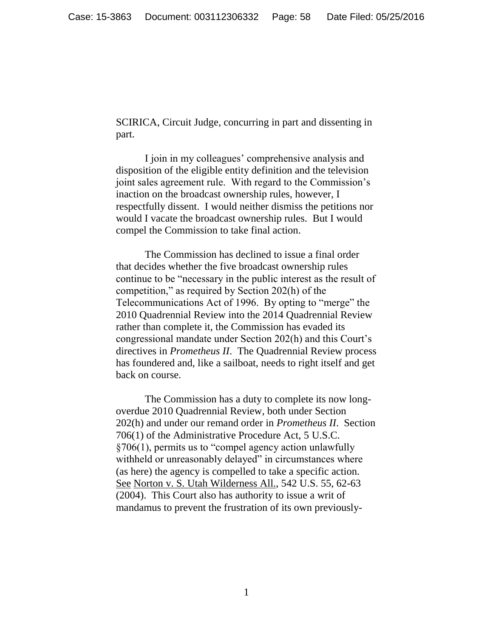SCIRICA, Circuit Judge, concurring in part and dissenting in part.

I join in my colleagues' comprehensive analysis and disposition of the eligible entity definition and the television joint sales agreement rule. With regard to the Commission's inaction on the broadcast ownership rules, however, I respectfully dissent. I would neither dismiss the petitions nor would I vacate the broadcast ownership rules. But I would compel the Commission to take final action.

The Commission has declined to issue a final order that decides whether the five broadcast ownership rules continue to be "necessary in the public interest as the result of competition," as required by Section 202(h) of the Telecommunications Act of 1996. By opting to "merge" the 2010 Quadrennial Review into the 2014 Quadrennial Review rather than complete it, the Commission has evaded its congressional mandate under Section 202(h) and this Court's directives in *Prometheus II*. The Quadrennial Review process has foundered and, like a sailboat, needs to right itself and get back on course.

The Commission has a duty to complete its now longoverdue 2010 Quadrennial Review, both under Section 202(h) and under our remand order in *Prometheus II*. Section 706(1) of the Administrative Procedure Act, 5 U.S.C. §706(1), permits us to "compel agency action unlawfully withheld or unreasonably delayed" in circumstances where (as here) the agency is compelled to take a specific action. See Norton v. S. Utah Wilderness All., 542 U.S. 55, 62-63 (2004). This Court also has authority to issue a writ of mandamus to prevent the frustration of its own previously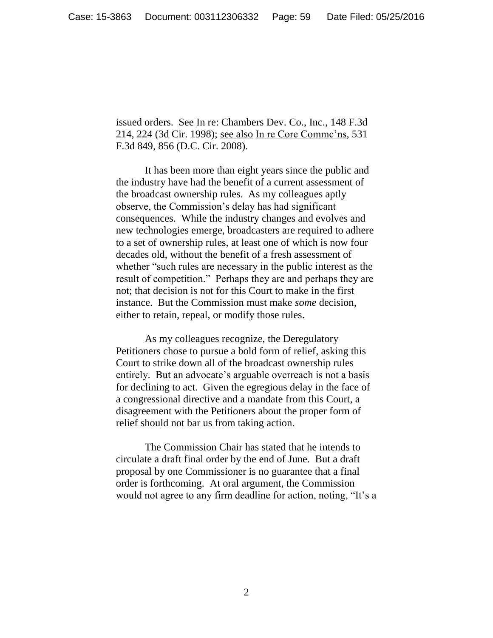issued orders. See In re: Chambers Dev. Co., Inc., 148 F.3d 214, 224 (3d Cir. 1998); see also In re Core Commc'ns, 531 F.3d 849, 856 (D.C. Cir. 2008).

It has been more than eight years since the public and the industry have had the benefit of a current assessment of the broadcast ownership rules. As my colleagues aptly observe, the Commission's delay has had significant consequences. While the industry changes and evolves and new technologies emerge, broadcasters are required to adhere to a set of ownership rules, at least one of which is now four decades old, without the benefit of a fresh assessment of whether "such rules are necessary in the public interest as the result of competition." Perhaps they are and perhaps they are not; that decision is not for this Court to make in the first instance. But the Commission must make *some* decision, either to retain, repeal, or modify those rules.

As my colleagues recognize, the Deregulatory Petitioners chose to pursue a bold form of relief, asking this Court to strike down all of the broadcast ownership rules entirely. But an advocate's arguable overreach is not a basis for declining to act. Given the egregious delay in the face of a congressional directive and a mandate from this Court, a disagreement with the Petitioners about the proper form of relief should not bar us from taking action.

The Commission Chair has stated that he intends to circulate a draft final order by the end of June. But a draft proposal by one Commissioner is no guarantee that a final order is forthcoming. At oral argument, the Commission would not agree to any firm deadline for action, noting, "It's a